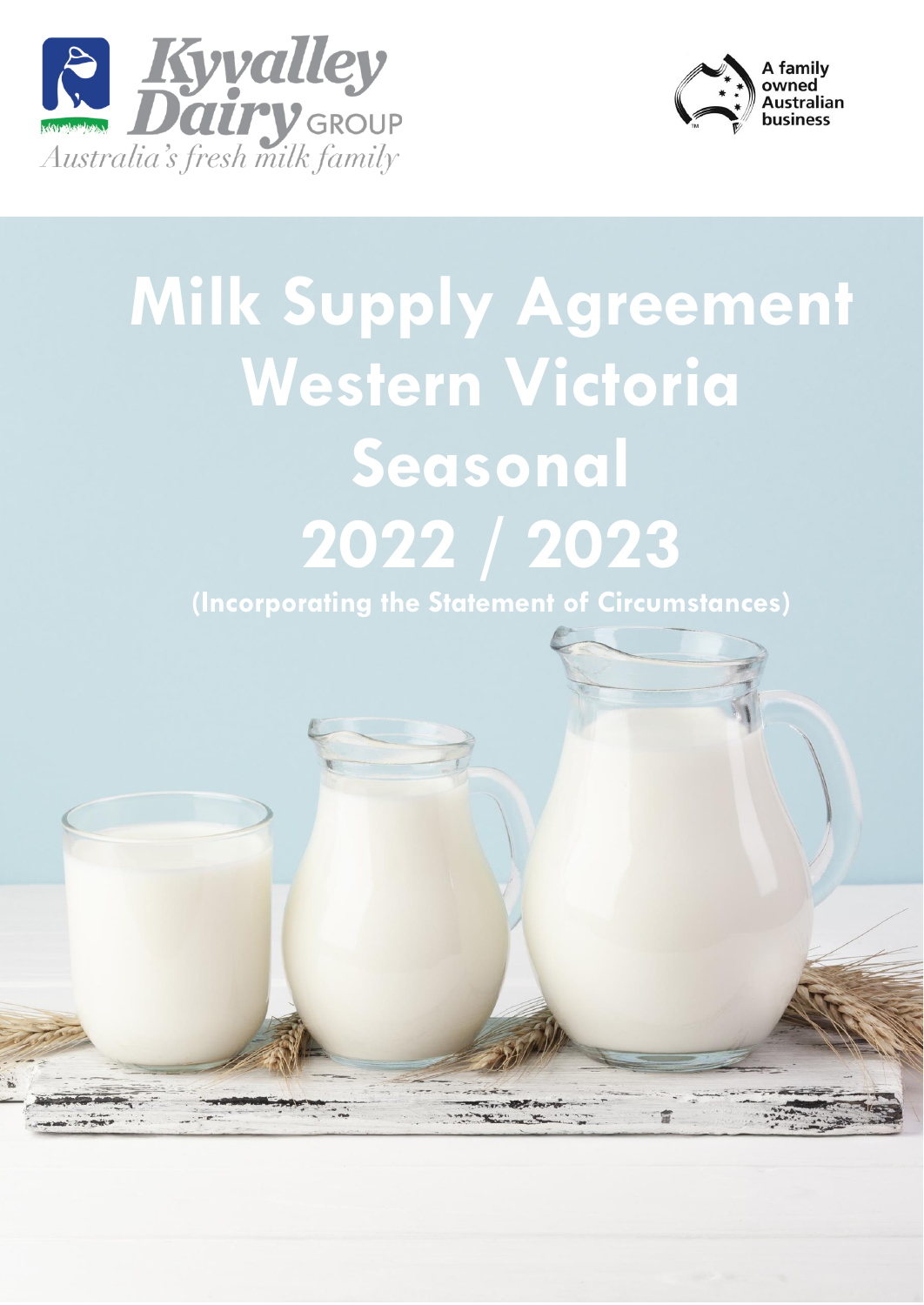



# **Milk Supply Agreement Western Victoria Seasonal 2022 / 2023**

**(Incorporating the Statement of Circumstances)**

富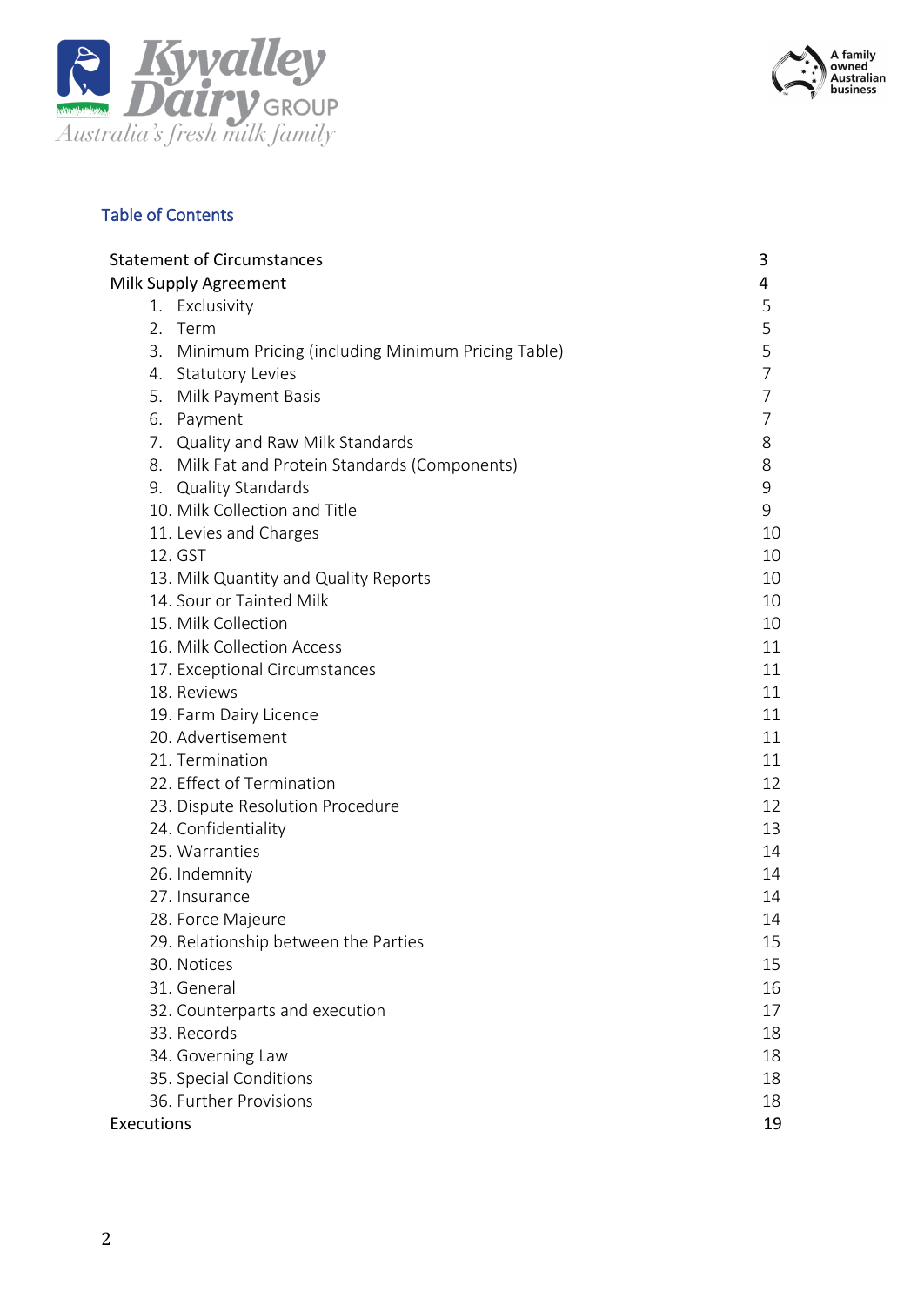



# Table of Contents

| <b>Statement of Circumstances</b>                    | 3              |
|------------------------------------------------------|----------------|
| Milk Supply Agreement                                | 4              |
| 1. Exclusivity                                       | 5              |
| 2. Term                                              | 5              |
| 3. Minimum Pricing (including Minimum Pricing Table) | 5              |
| 4. Statutory Levies                                  | $\overline{7}$ |
| Milk Payment Basis<br>5.                             | 7              |
| 6. Payment                                           | 7              |
| 7. Quality and Raw Milk Standards                    | 8              |
| 8. Milk Fat and Protein Standards (Components)       | 8              |
| 9. Quality Standards                                 | 9              |
| 10. Milk Collection and Title                        | 9              |
| 11. Levies and Charges                               | 10             |
| 12. GST                                              | 10             |
| 13. Milk Quantity and Quality Reports                | 10             |
| 14. Sour or Tainted Milk                             | 10             |
| 15. Milk Collection                                  | 10             |
| 16. Milk Collection Access                           | 11             |
| 17. Exceptional Circumstances                        | 11             |
| 18. Reviews                                          | 11             |
| 19. Farm Dairy Licence                               | 11             |
| 20. Advertisement                                    | 11             |
| 21. Termination                                      | 11             |
| 22. Effect of Termination                            | 12             |
| 23. Dispute Resolution Procedure                     | 12             |
| 24. Confidentiality                                  | 13             |
| 25. Warranties                                       | 14             |
| 26. Indemnity                                        | 14             |
| 27. Insurance                                        | 14             |
| 28. Force Majeure                                    | 14             |
| 29. Relationship between the Parties                 | 15             |
| 30. Notices                                          | 15             |
| 31. General                                          | 16             |
| 32. Counterparts and execution                       | 17             |
| 33. Records                                          | 18             |
| 34. Governing Law                                    | 18             |
| 35. Special Conditions                               | 18             |
| 36. Further Provisions                               | 18             |
| <b>Executions</b>                                    | 19             |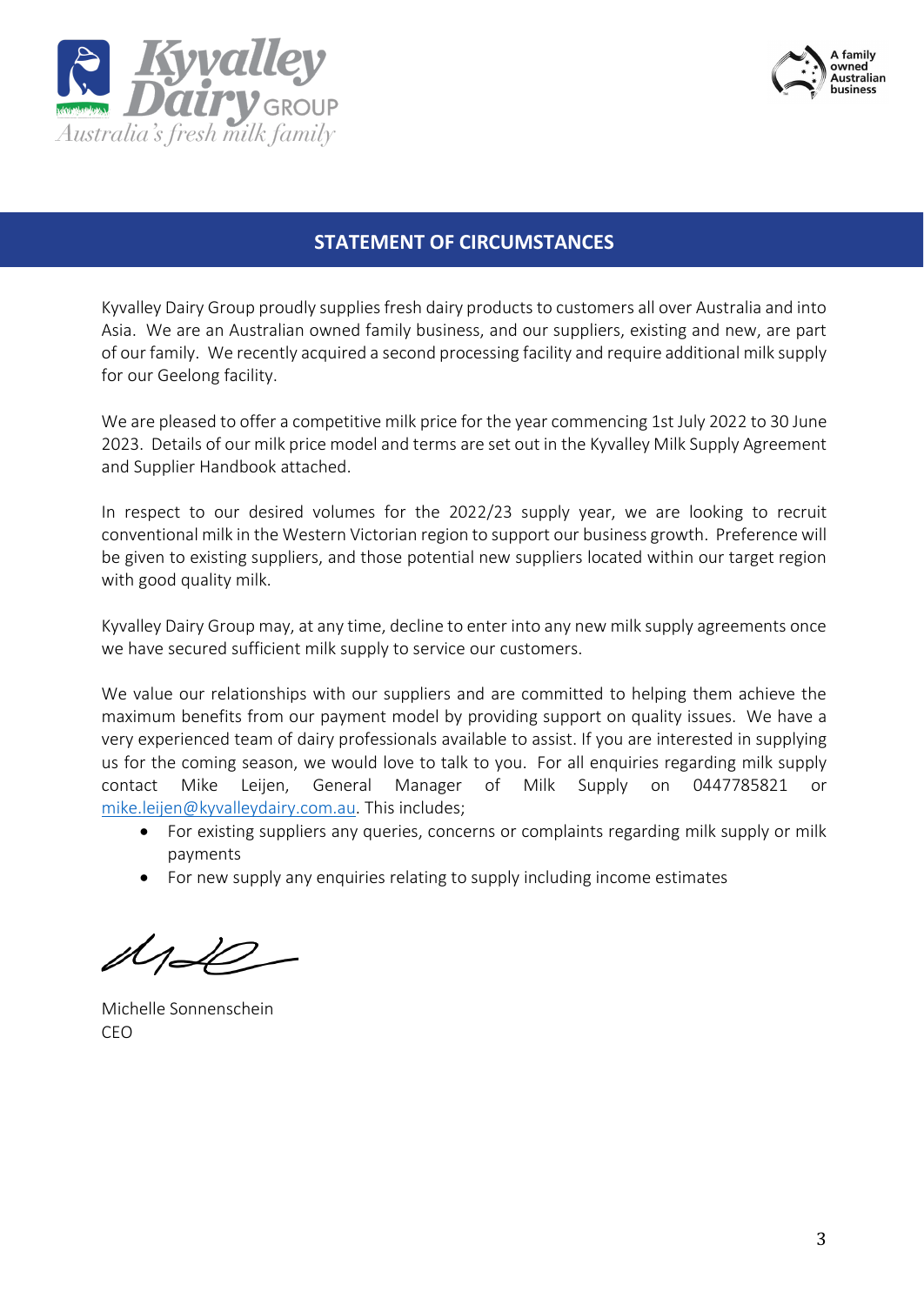



## **STATEMENT OF CIRCUMSTANCES**

Kyvalley Dairy Group proudly supplies fresh dairy products to customers all over Australia and into Asia. We are an Australian owned family business, and our suppliers, existing and new, are part of our family. We recently acquired a second processing facility and require additional milk supply for our Geelong facility.

We are pleased to offer a competitive milk price for the year commencing 1st July 2022 to 30 June 2023. Details of our milk price model and terms are set out in the Kyvalley Milk Supply Agreement and Supplier Handbook attached.

In respect to our desired volumes for the 2022/23 supply year, we are looking to recruit conventional milk in the Western Victorian region to support our business growth. Preference will be given to existing suppliers, and those potential new suppliers located within our target region with good quality milk.

Kyvalley Dairy Group may, at any time, decline to enter into any new milk supply agreements once we have secured sufficient milk supply to service our customers.

We value our relationships with our suppliers and are committed to helping them achieve the maximum benefits from our payment model by providing support on quality issues. We have a very experienced team of dairy professionals available to assist. If you are interested in supplying us for the coming season, we would love to talk to you. For all enquiries regarding milk supply contact Mike Leijen, General Manager of Milk Supply on 0447785821 or [mike.leijen@kyvalleydairy.com.au.](mailto:mike.leijen@kyvalleydairy.com.au) This includes;

- For existing suppliers any queries, concerns or complaints regarding milk supply or milk payments
- For new supply any enquiries relating to supply including income estimates

 $M\!\!\rightarrow\!\!\!\mathscr{L}$ 

Michelle Sonnenschein CEO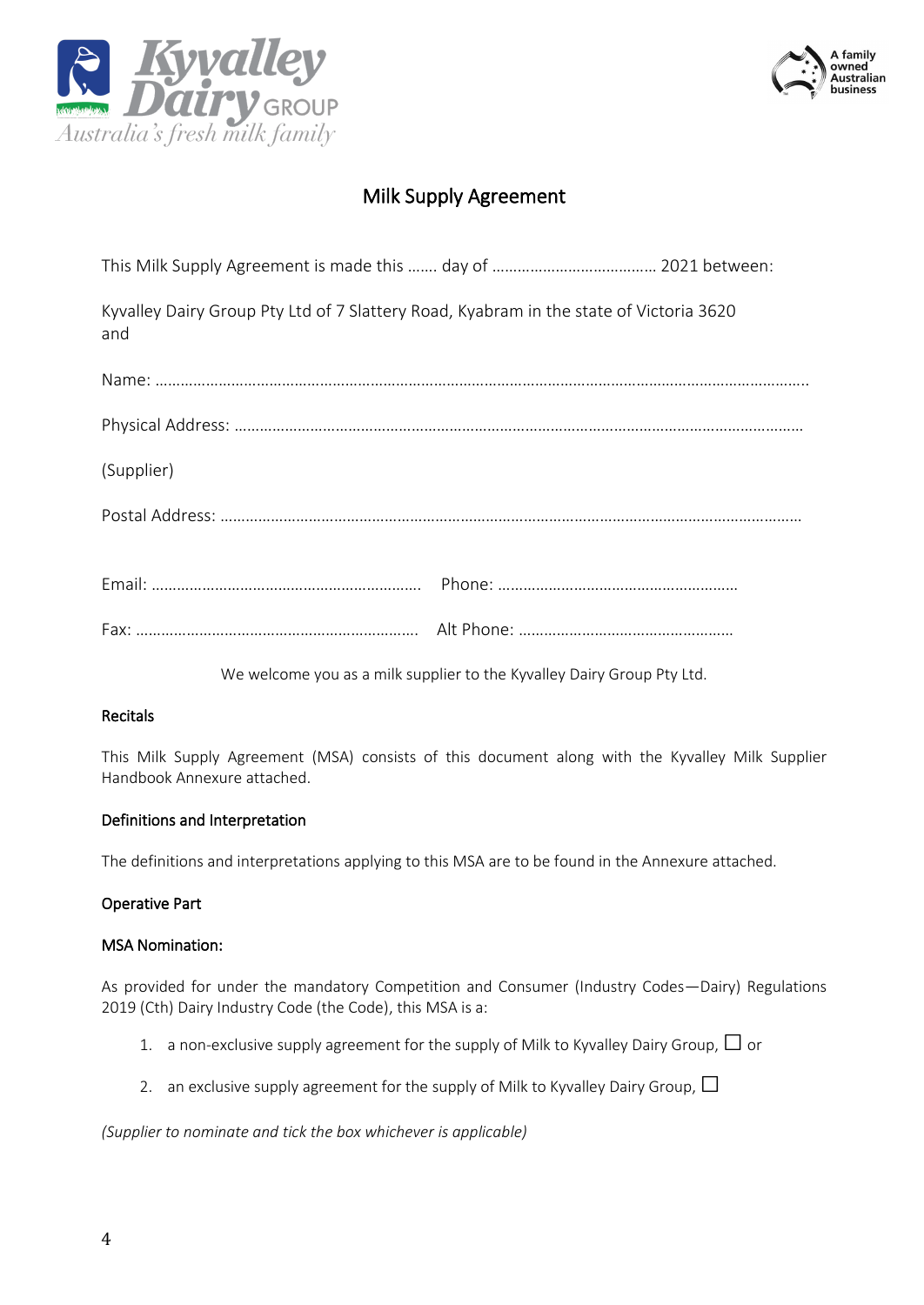



# Milk Supply Agreement

| Kyvalley Dairy Group Pty Ltd of 7 Slattery Road, Kyabram in the state of Victoria 3620<br>and |  |
|-----------------------------------------------------------------------------------------------|--|
|                                                                                               |  |
|                                                                                               |  |
| (Supplier)                                                                                    |  |
|                                                                                               |  |
|                                                                                               |  |
|                                                                                               |  |

We welcome you as a milk supplier to the Kyvalley Dairy Group Pty Ltd.

#### Recitals

This Milk Supply Agreement (MSA) consists of this document along with the Kyvalley Milk Supplier Handbook Annexure attached.

#### Definitions and Interpretation

The definitions and interpretations applying to this MSA are to be found in the Annexure attached.

#### Operative Part

#### MSA Nomination:

As provided for under the mandatory Competition and Consumer (Industry Codes—Dairy) Regulations 2019 (Cth) Dairy Industry Code (the Code), this MSA is a:

- 1. a non-exclusive supply agreement for the supply of Milk to Kyvalley Dairy Group,  $\Box$  or
- 2. an exclusive supply agreement for the supply of Milk to Kyvalley Dairy Group,  $\Box$

*(Supplier to nominate and tick the box whichever is applicable)*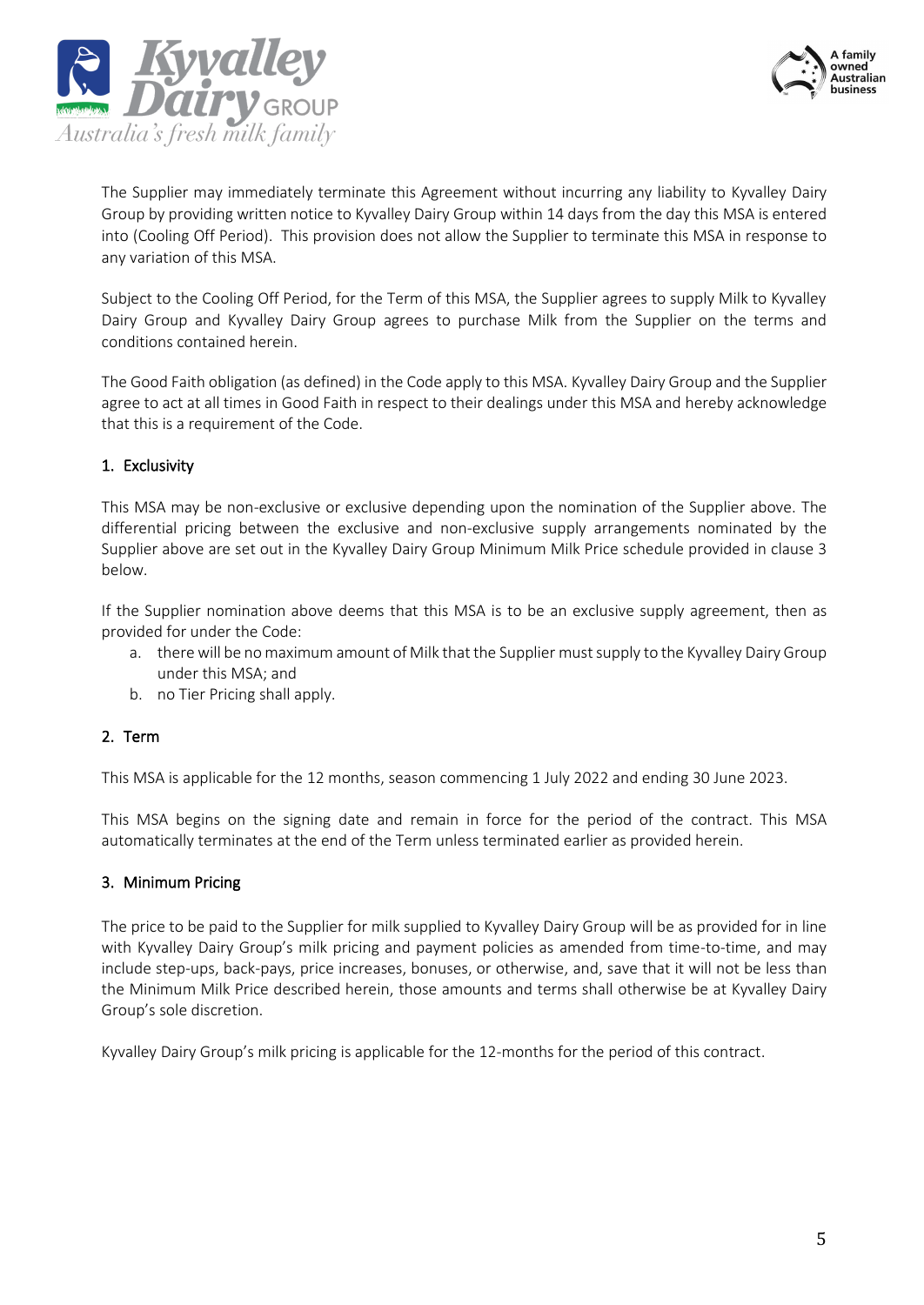



The Supplier may immediately terminate this Agreement without incurring any liability to Kyvalley Dairy Group by providing written notice to Kyvalley Dairy Group within 14 days from the day this MSA is entered into (Cooling Off Period). This provision does not allow the Supplier to terminate this MSA in response to any variation of this MSA.

Subject to the Cooling Off Period, for the Term of this MSA, the Supplier agrees to supply Milk to Kyvalley Dairy Group and Kyvalley Dairy Group agrees to purchase Milk from the Supplier on the terms and conditions contained herein.

The Good Faith obligation (as defined) in the Code apply to this MSA. Kyvalley Dairy Group and the Supplier agree to act at all times in Good Faith in respect to their dealings under this MSA and hereby acknowledge that this is a requirement of the Code.

### 1. Exclusivity

This MSA may be non-exclusive or exclusive depending upon the nomination of the Supplier above. The differential pricing between the exclusive and non-exclusive supply arrangements nominated by the Supplier above are set out in the Kyvalley Dairy Group Minimum Milk Price schedule provided in clause 3 below.

If the Supplier nomination above deems that this MSA is to be an exclusive supply agreement, then as provided for under the Code:

- a. there will be no maximum amount of Milk that the Supplier must supply to the Kyvalley Dairy Group under this MSA; and
- b. no Tier Pricing shall apply.

#### 2. Term

This MSA is applicable for the 12 months, season commencing 1 July 2022 and ending 30 June 2023.

This MSA begins on the signing date and remain in force for the period of the contract. This MSA automatically terminates at the end of the Term unless terminated earlier as provided herein.

#### 3. Minimum Pricing

The price to be paid to the Supplier for milk supplied to Kyvalley Dairy Group will be as provided for in line with Kyvalley Dairy Group's milk pricing and payment policies as amended from time-to-time, and may include step-ups, back-pays, price increases, bonuses, or otherwise, and, save that it will not be less than the Minimum Milk Price described herein, those amounts and terms shall otherwise be at Kyvalley Dairy Group's sole discretion.

Kyvalley Dairy Group's milk pricing is applicable for the 12-months for the period of this contract.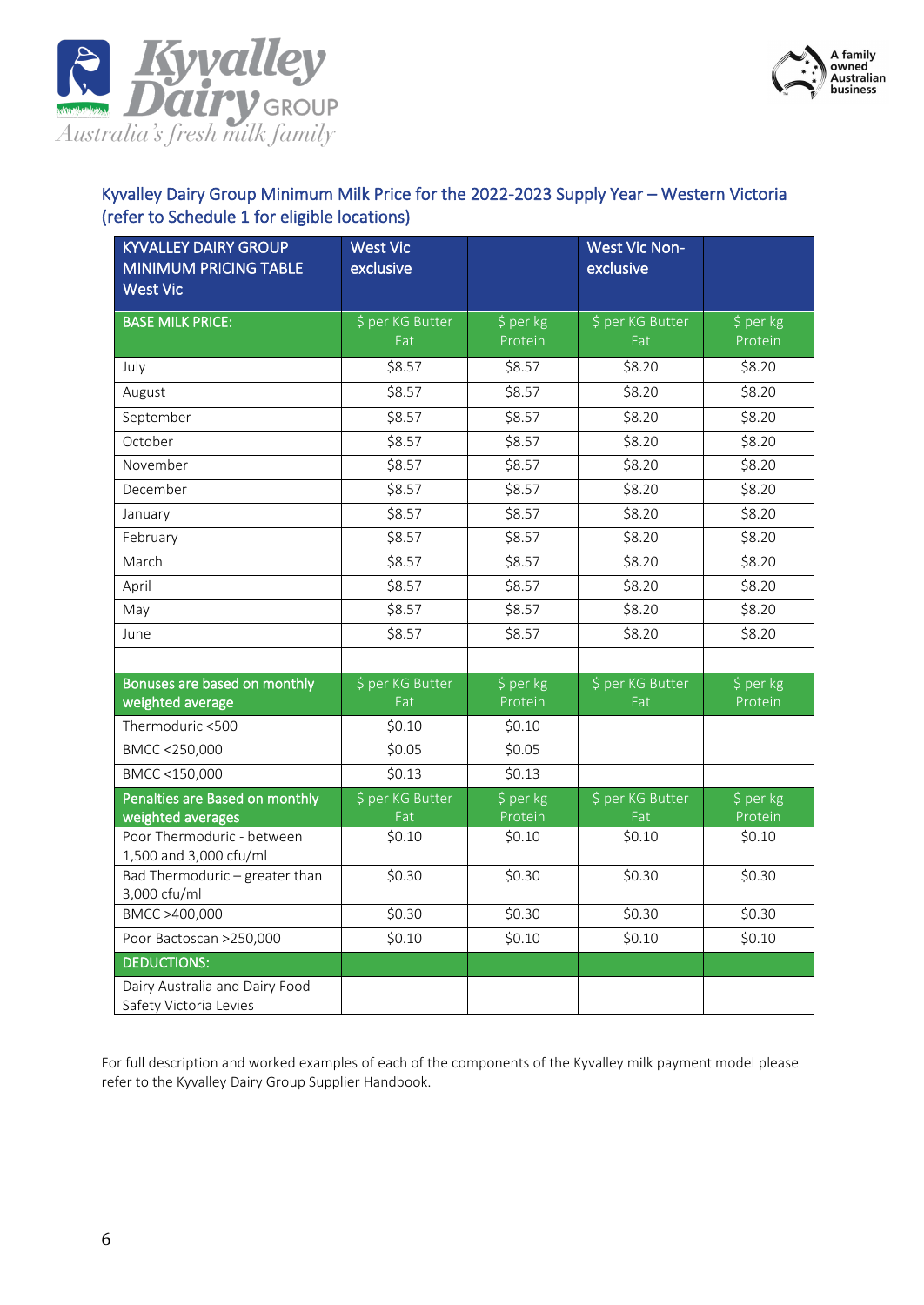



## Kyvalley Dairy Group Minimum Milk Price for the 2022-2023 Supply Year – Western Victoria (refer to Schedule 1 for eligible locations)

| <b>KYVALLEY DAIRY GROUP</b><br><b>MINIMUM PRICING TABLE</b> | <b>West Vic</b><br>exclusive |                      | <b>West Vic Non-</b><br>exclusive |                      |
|-------------------------------------------------------------|------------------------------|----------------------|-----------------------------------|----------------------|
| <b>West Vic</b>                                             |                              |                      |                                   |                      |
| <b>BASE MILK PRICE:</b>                                     | \$ per KG Butter<br>Fat      | \$ per kg<br>Protein | \$ per KG Butter<br>Fat           | \$ per kg<br>Protein |
| July                                                        | \$8.57                       | \$8.57               | \$8.20                            | \$8.20               |
| August                                                      | \$8.57                       | \$8.57               | \$8.20                            | \$8.20               |
| September                                                   | \$8.57                       | \$8.57               | \$8.20                            | \$8.20               |
| October                                                     | \$8.57                       | \$8.57               | \$8.20                            | \$8.20               |
| November                                                    | \$8.57                       | \$8.57               | \$8.20                            | \$8.20               |
| December                                                    | \$8.57                       | \$8.57               | \$8.20                            | \$8.20               |
| January                                                     | \$8.57                       | \$8.57               | \$8.20                            | \$8.20               |
| February                                                    | \$8.57                       | \$8.57               | \$8.20                            | \$8.20               |
| March                                                       | \$8.57                       | \$8.57               | \$8.20                            | \$8.20               |
| April                                                       | \$8.57                       | \$8.57               | \$8.20                            | \$8.20               |
| May                                                         | \$8.57                       | \$8.57               | \$8.20                            | \$8.20               |
| June                                                        | \$8.57                       | \$8.57               | \$8.20                            | \$8.20               |
|                                                             |                              |                      |                                   |                      |
| Bonuses are based on monthly                                | \$ per KG Butter             | \$ per kg            | \$ per KG Butter                  | \$ per kg            |
| weighted average                                            | Fat                          | Protein              | Fat                               | Protein              |
| Thermoduric <500                                            | \$0.10                       | \$0.10               |                                   |                      |
| BMCC <250,000                                               | \$0.05                       | \$0.05               |                                   |                      |
| BMCC <150,000                                               | \$0.13                       | \$0.13               |                                   |                      |
| Penalties are Based on monthly<br>weighted averages         | \$ per KG Butter<br>Fat      | \$ per kg<br>Protein | \$ per KG Butter<br>Fat           | \$ per kg<br>Protein |
| Poor Thermoduric - between<br>1,500 and 3,000 cfu/ml        | \$0.10                       | \$0.10               | \$0.10                            | \$0.10               |
| Bad Thermoduric - greater than<br>3,000 cfu/ml              | \$0.30                       | \$0.30               | \$0.30                            | \$0.30               |
| BMCC >400,000                                               | \$0.30                       | \$0.30               | \$0.30                            | \$0.30               |
| Poor Bactoscan >250,000                                     | \$0.10                       | \$0.10               | \$0.10                            | \$0.10               |
| <b>DEDUCTIONS:</b>                                          |                              |                      |                                   |                      |
| Dairy Australia and Dairy Food                              |                              |                      |                                   |                      |
| Safety Victoria Levies                                      |                              |                      |                                   |                      |

For full description and worked examples of each of the components of the Kyvalley milk payment model please refer to the Kyvalley Dairy Group Supplier Handbook.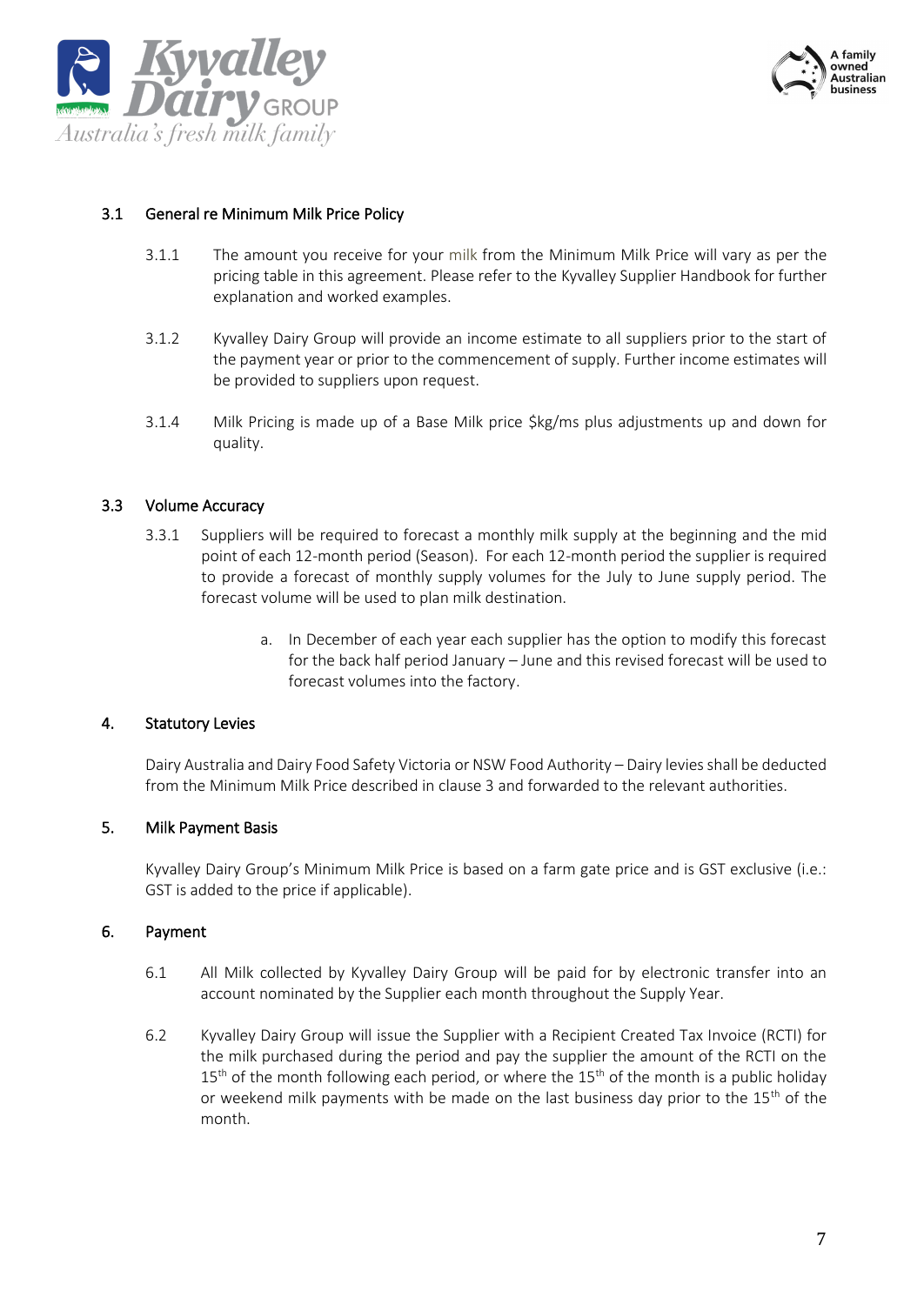



#### 3.1 General re Minimum Milk Price Policy

- 3.1.1 The amount you receive for your milk from the Minimum Milk Price will vary as per the pricing table in this agreement. Please refer to the Kyvalley Supplier Handbook for further explanation and worked examples.
- 3.1.2 Kyvalley Dairy Group will provide an income estimate to all suppliers prior to the start of the payment year or prior to the commencement of supply. Further income estimates will be provided to suppliers upon request.
- 3.1.4 Milk Pricing is made up of a Base Milk price \$kg/ms plus adjustments up and down for quality.

#### 3.3 Volume Accuracy

- 3.3.1 Suppliers will be required to forecast a monthly milk supply at the beginning and the mid point of each 12-month period (Season). For each 12-month period the supplier is required to provide a forecast of monthly supply volumes for the July to June supply period. The forecast volume will be used to plan milk destination.
	- a. In December of each year each supplier has the option to modify this forecast for the back half period January – June and this revised forecast will be used to forecast volumes into the factory.

#### 4. Statutory Levies

Dairy Australia and Dairy Food Safety Victoria or NSW Food Authority – Dairy levies shall be deducted from the Minimum Milk Price described in clause 3 and forwarded to the relevant authorities.

#### 5. Milk Payment Basis

Kyvalley Dairy Group's Minimum Milk Price is based on a farm gate price and is GST exclusive (i.e.: GST is added to the price if applicable).

#### 6. Payment

- 6.1 All Milk collected by Kyvalley Dairy Group will be paid for by electronic transfer into an account nominated by the Supplier each month throughout the Supply Year.
- 6.2 Kyvalley Dairy Group will issue the Supplier with a Recipient Created Tax Invoice (RCTI) for the milk purchased during the period and pay the supplier the amount of the RCTI on the  $15<sup>th</sup>$  of the month following each period, or where the  $15<sup>th</sup>$  of the month is a public holiday or weekend milk payments with be made on the last business day prior to the  $15<sup>th</sup>$  of the month.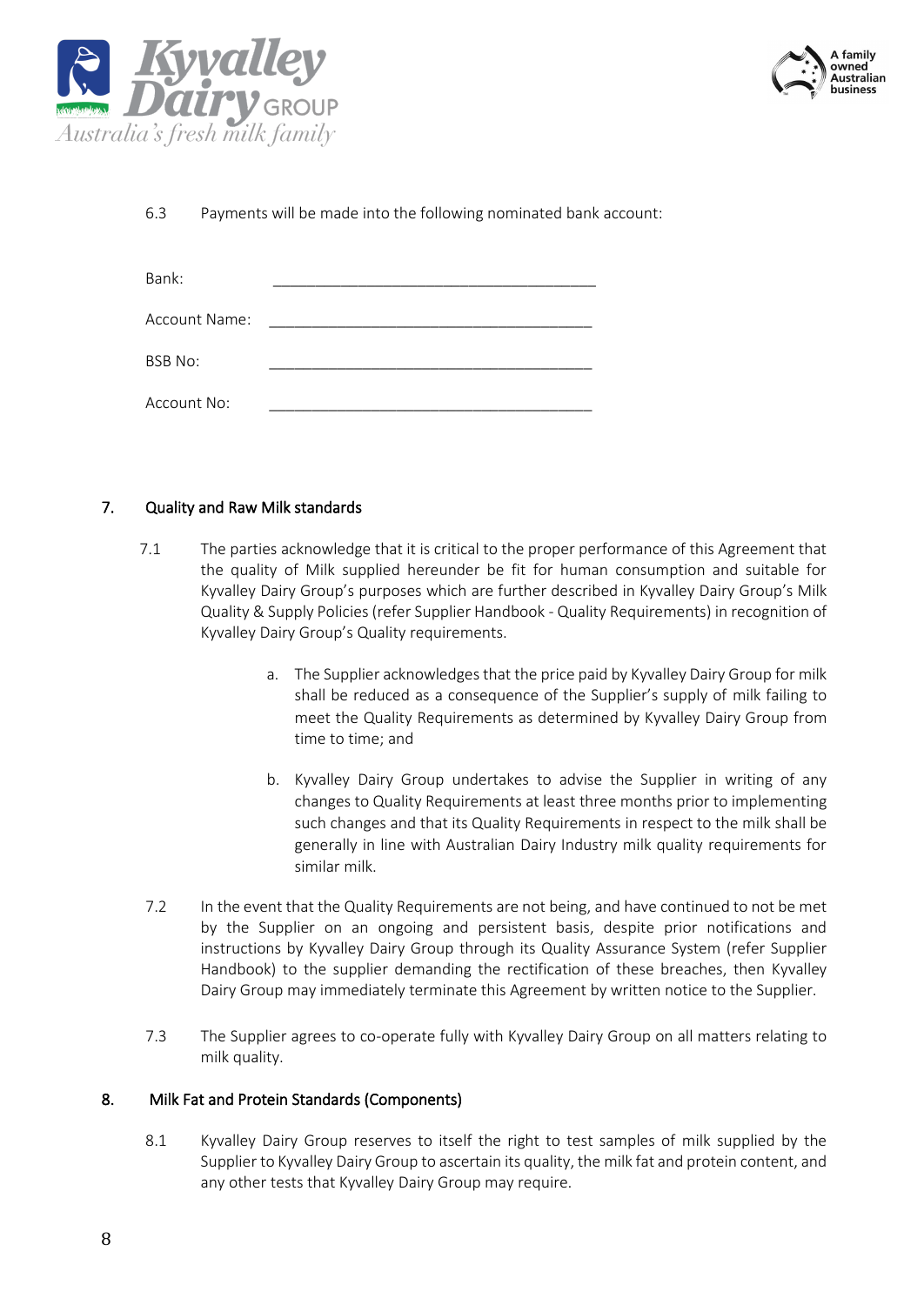



6.3 Payments will be made into the following nominated bank account:

| Bank:          |  |
|----------------|--|
|                |  |
| Account Name:  |  |
| <b>BSB No:</b> |  |
|                |  |
| Account No:    |  |

#### 7. Quality and Raw Milk standards

- 7.1 The parties acknowledge that it is critical to the proper performance of this Agreement that the quality of Milk supplied hereunder be fit for human consumption and suitable for Kyvalley Dairy Group's purposes which are further described in Kyvalley Dairy Group's Milk Quality & Supply Policies (refer Supplier Handbook - Quality Requirements) in recognition of Kyvalley Dairy Group's Quality requirements.
	- a. The Supplier acknowledges that the price paid by Kyvalley Dairy Group for milk shall be reduced as a consequence of the Supplier's supply of milk failing to meet the Quality Requirements as determined by Kyvalley Dairy Group from time to time; and
	- b. Kyvalley Dairy Group undertakes to advise the Supplier in writing of any changes to Quality Requirements at least three months prior to implementing such changes and that its Quality Requirements in respect to the milk shall be generally in line with Australian Dairy Industry milk quality requirements for similar milk.
- 7.2 In the event that the Quality Requirements are not being, and have continued to not be met by the Supplier on an ongoing and persistent basis, despite prior notifications and instructions by Kyvalley Dairy Group through its Quality Assurance System (refer Supplier Handbook) to the supplier demanding the rectification of these breaches, then Kyvalley Dairy Group may immediately terminate this Agreement by written notice to the Supplier.
- 7.3 The Supplier agrees to co-operate fully with Kyvalley Dairy Group on all matters relating to milk quality.

#### 8. Milk Fat and Protein Standards (Components)

8.1 Kyvalley Dairy Group reserves to itself the right to test samples of milk supplied by the Supplier to Kyvalley Dairy Group to ascertain its quality, the milk fat and protein content, and any other tests that Kyvalley Dairy Group may require.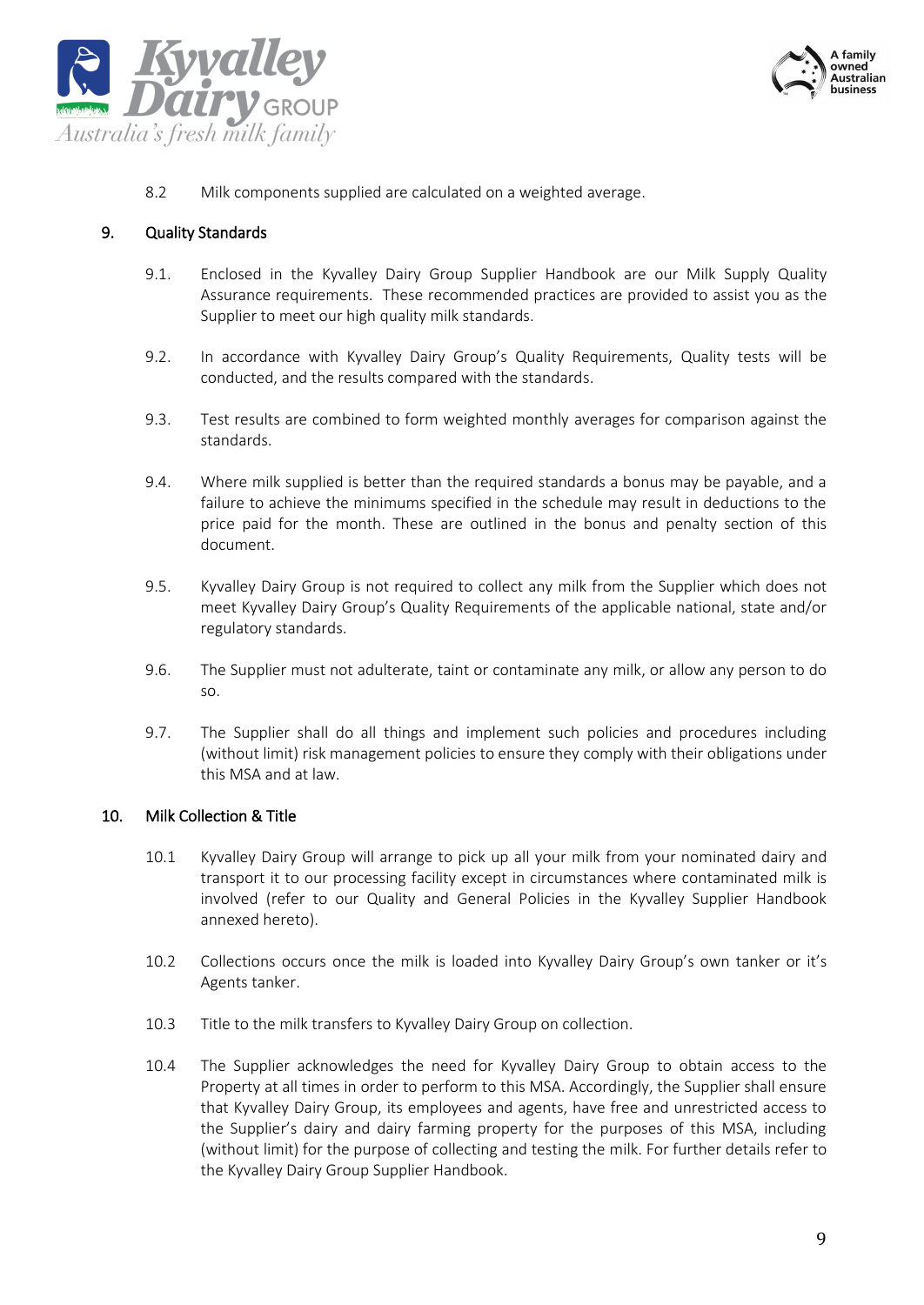



8.2 Milk components supplied are calculated on a weighted average.

#### 9. Quality Standards

- 9.1. Enclosed in the Kyvalley Dairy Group Supplier Handbook are our Milk Supply Quality Assurance requirements. These recommended practices are provided to assist you as the Supplier to meet our high quality milk standards.
- 9.2. In accordance with Kyvalley Dairy Group's Quality Requirements, Quality tests will be conducted, and the results compared with the standards.
- 9.3. Test results are combined to form weighted monthly averages for comparison against the standards.
- 9.4. Where milk supplied is better than the required standards a bonus may be payable, and a failure to achieve the minimums specified in the schedule may result in deductions to the price paid for the month. These are outlined in the bonus and penalty section of this document.
- 9.5. Kyvalley Dairy Group is not required to collect any milk from the Supplier which does not meet Kyvalley Dairy Group's Quality Requirements of the applicable national, state and/or regulatory standards.
- 9.6. The Supplier must not adulterate, taint or contaminate any milk, or allow any person to do so.
- 9.7. The Supplier shall do all things and implement such policies and procedures including (without limit) risk management policies to ensure they comply with their obligations under this MSA and at law.

#### 10. Milk Collection & Title

- 10.1 Kyvalley Dairy Group will arrange to pick up all your milk from your nominated dairy and transport it to our processing facility except in circumstances where contaminated milk is involved (refer to our Quality and General Policies in the Kyvalley Supplier Handbook annexed hereto).
- 10.2 Collections occurs once the milk is loaded into Kyvalley Dairy Group's own tanker or it's Agents tanker.
- 10.3 Title to the milk transfers to Kyvalley Dairy Group on collection.
- 10.4 The Supplier acknowledges the need for Kyvalley Dairy Group to obtain access to the Property at all times in order to perform to this MSA. Accordingly, the Supplier shall ensure that Kyvalley Dairy Group, its employees and agents, have free and unrestricted access to the Supplier's dairy and dairy farming property for the purposes of this MSA, including (without limit) for the purpose of collecting and testing the milk. For further details refer to the Kyvalley Dairy Group Supplier Handbook.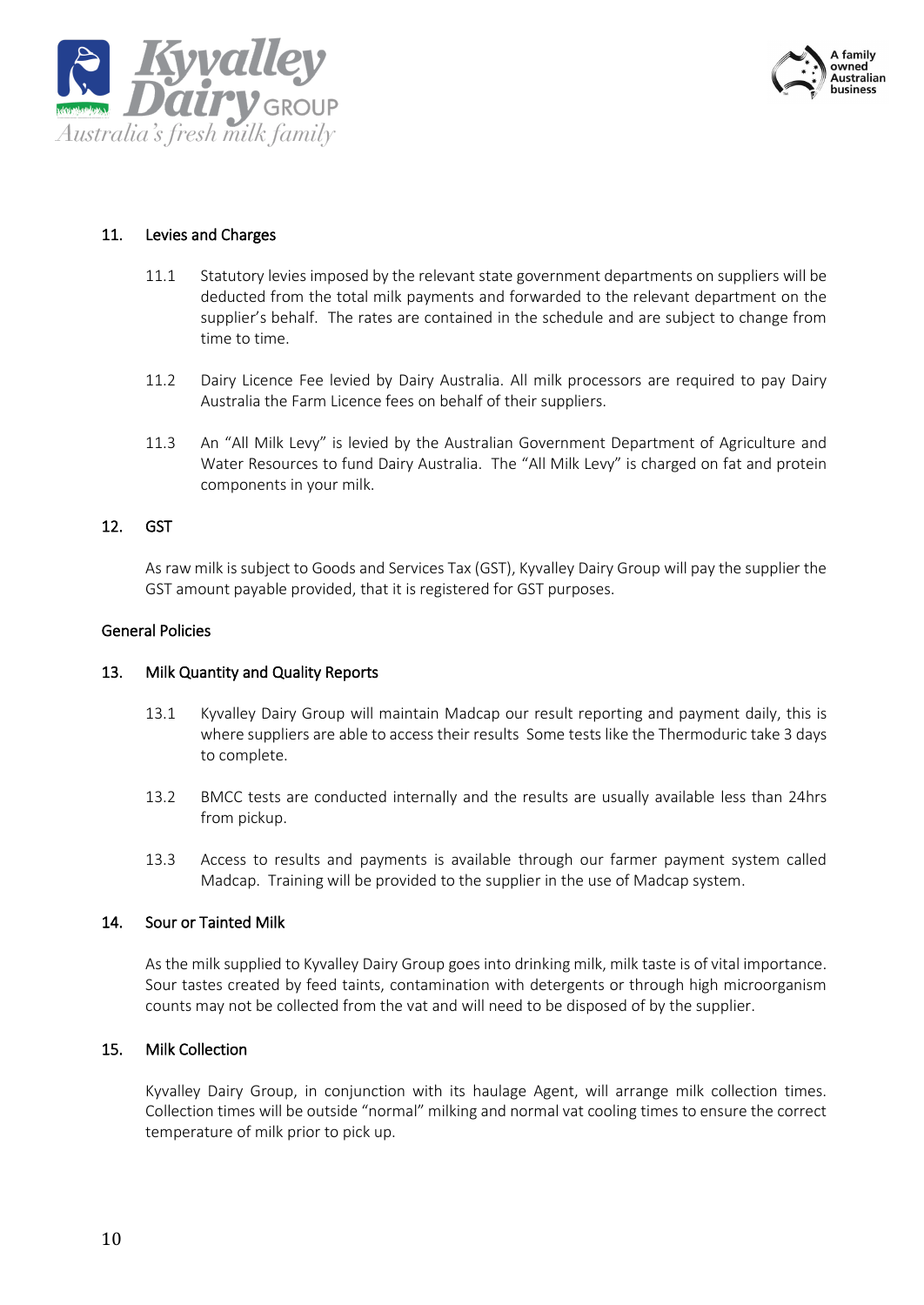



#### 11. Levies and Charges

- 11.1 Statutory levies imposed by the relevant state government departments on suppliers will be deducted from the total milk payments and forwarded to the relevant department on the supplier's behalf. The rates are contained in the schedule and are subject to change from time to time.
- 11.2 Dairy Licence Fee levied by Dairy Australia. All milk processors are required to pay Dairy Australia the Farm Licence fees on behalf of their suppliers.
- 11.3 An "All Milk Levy" is levied by the Australian Government Department of Agriculture and Water Resources to fund Dairy Australia. The "All Milk Levy" is charged on fat and protein components in your milk.

#### 12. GST

As raw milk is subject to Goods and Services Tax (GST), Kyvalley Dairy Group will pay the supplier the GST amount payable provided, that it is registered for GST purposes.

#### General Policies

#### 13. Milk Quantity and Quality Reports

- 13.1 Kyvalley Dairy Group will maintain Madcap our result reporting and payment daily, this is where suppliers are able to access their results Some tests like the Thermoduric take 3 days to complete.
- 13.2 BMCC tests are conducted internally and the results are usually available less than 24hrs from pickup.
- 13.3 Access to results and payments is available through our farmer payment system called Madcap. Training will be provided to the supplier in the use of Madcap system.

#### 14. Sour or Tainted Milk

As the milk supplied to Kyvalley Dairy Group goes into drinking milk, milk taste is of vital importance. Sour tastes created by feed taints, contamination with detergents or through high microorganism counts may not be collected from the vat and will need to be disposed of by the supplier.

#### 15. Milk Collection

Kyvalley Dairy Group, in conjunction with its haulage Agent, will arrange milk collection times. Collection times will be outside "normal" milking and normal vat cooling times to ensure the correct temperature of milk prior to pick up.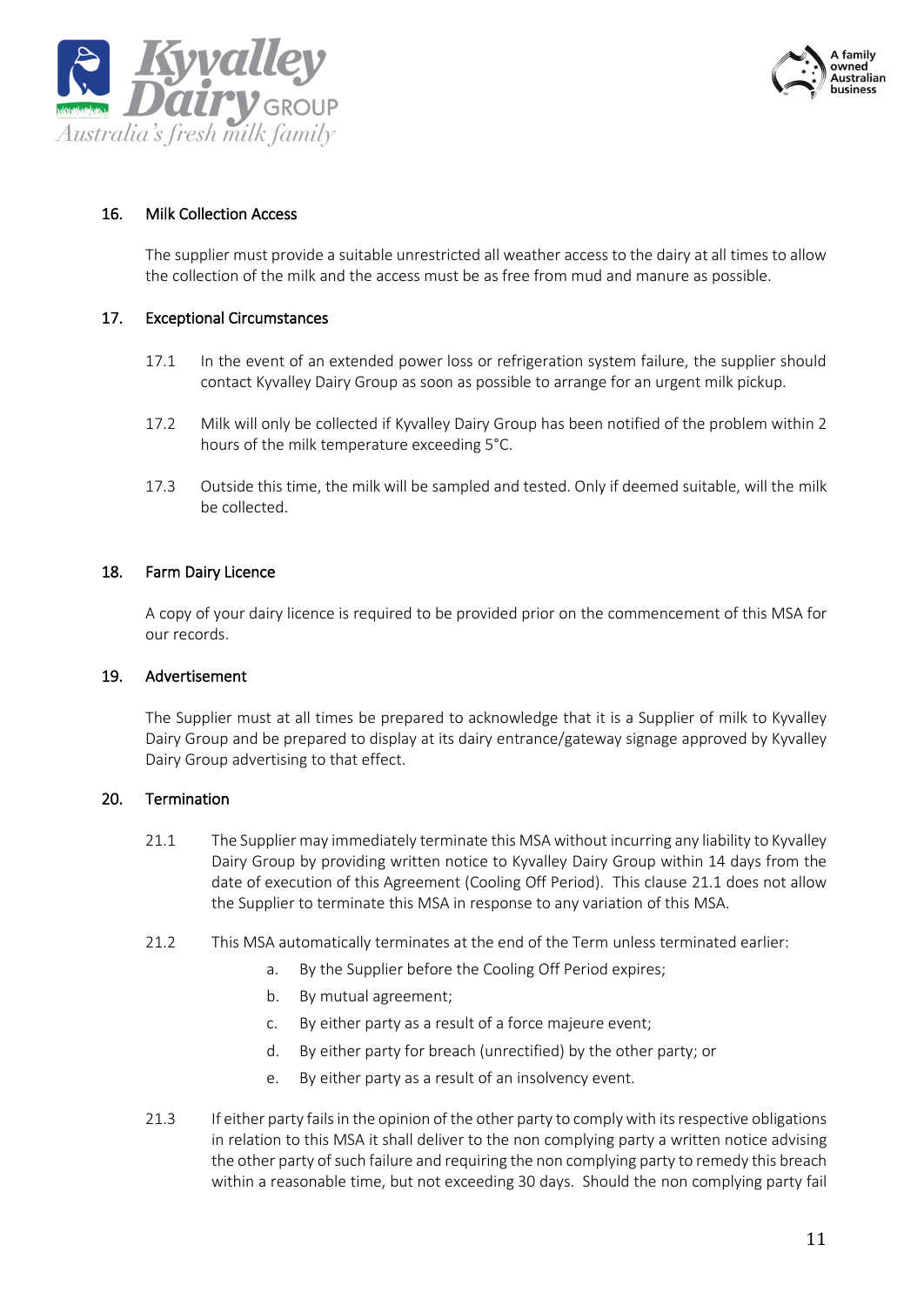



#### 16. Milk Collection Access

The supplier must provide a suitable unrestricted all weather access to the dairy at all times to allow the collection of the milk and the access must be as free from mud and manure as possible.

#### 17. Exceptional Circumstances

- 17.1 In the event of an extended power loss or refrigeration system failure, the supplier should contact Kyvalley Dairy Group as soon as possible to arrange for an urgent milk pickup.
- 17.2 Milk will only be collected if Kyvalley Dairy Group has been notified of the problem within 2 hours of the milk temperature exceeding 5°C.
- 17.3 Outside this time, the milk will be sampled and tested. Only if deemed suitable, will the milk be collected.

#### 18. Farm Dairy Licence

A copy of your dairy licence is required to be provided prior on the commencement of this MSA for our records.

#### 19. Advertisement

The Supplier must at all times be prepared to acknowledge that it is a Supplier of milk to Kyvalley Dairy Group and be prepared to display at its dairy entrance/gateway signage approved by Kyvalley Dairy Group advertising to that effect.

#### 20. Termination

- 21.1 The Supplier may immediately terminate this MSA without incurring any liability to Kyvalley Dairy Group by providing written notice to Kyvalley Dairy Group within 14 days from the date of execution of this Agreement (Cooling Off Period). This clause 21.1 does not allow the Supplier to terminate this MSA in response to any variation of this MSA.
- 21.2 This MSA automatically terminates at the end of the Term unless terminated earlier:
	- a. By the Supplier before the Cooling Off Period expires;
	- b. By mutual agreement;
	- c. By either party as a result of a force majeure event;
	- d. By either party for breach (unrectified) by the other party; or
	- e. By either party as a result of an insolvency event.
- 21.3 If either party fails in the opinion of the other party to comply with itsrespective obligations in relation to this MSA it shall deliver to the non complying party a written notice advising the other party of such failure and requiring the non complying party to remedy this breach within a reasonable time, but not exceeding 30 days. Should the non complying party fail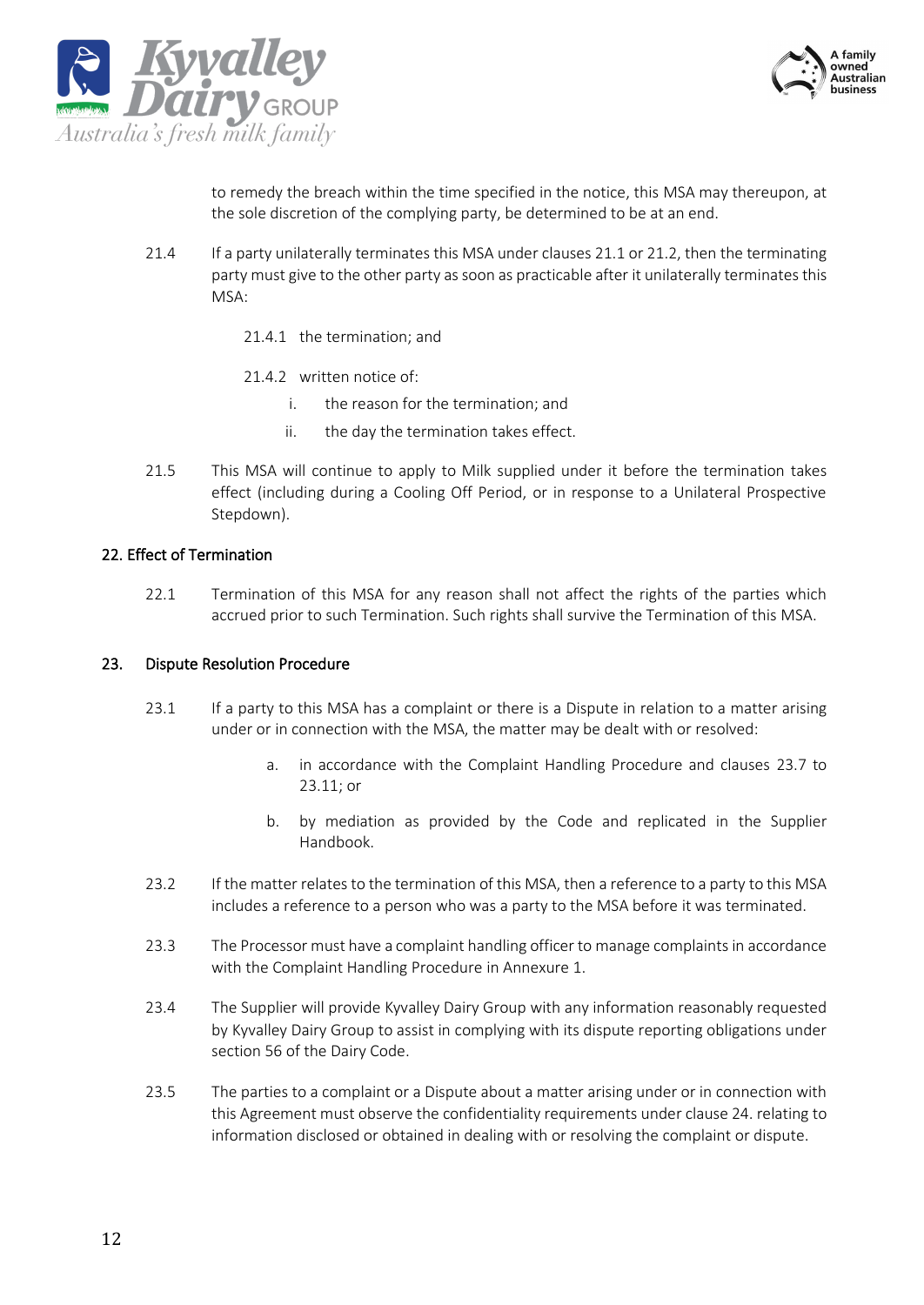



to remedy the breach within the time specified in the notice, this MSA may thereupon, at the sole discretion of the complying party, be determined to be at an end.

- 21.4 If a party unilaterally terminates this MSA under clauses 21.1 or 21.2, then the terminating party must give to the other party as soon as practicable after it unilaterally terminates this MSA:
	- 21.4.1 the termination; and
	- 21.4.2 written notice of:
		- i. the reason for the termination; and
		- ii. the day the termination takes effect.
- 21.5 This MSA will continue to apply to Milk supplied under it before the termination takes effect (including during a Cooling Off Period, or in response to a Unilateral Prospective Stepdown).

#### 22. Effect of Termination

22.1 Termination of this MSA for any reason shall not affect the rights of the parties which accrued prior to such Termination. Such rights shall survive the Termination of this MSA.

#### 23. Dispute Resolution Procedure

- 23.1 If a party to this MSA has a complaint or there is a Dispute in relation to a matter arising under or in connection with the MSA, the matter may be dealt with or resolved:
	- a. in accordance with the Complaint Handling Procedure and clauses [23.7](#page-12-0) to [23.11;](#page-12-1) or
	- b. by mediation as provided by the Code and replicated in the Supplier Handbook.
- 23.2 If the matter relates to the termination of this MSA, then a reference to a party to this MSA includes a reference to a person who was a party to the MSA before it was terminated.
- 23.3 The Processor must have a complaint handling officer to manage complaints in accordance with the Complaint Handling Procedure in Annexure 1.
- 23.4 The Supplier will provide Kyvalley Dairy Group with any information reasonably requested by Kyvalley Dairy Group to assist in complying with its dispute reporting obligations under section 56 of the Dairy Code.
- 23.5 The parties to a complaint or a Dispute about a matter arising under or in connection with this Agreement must observe the confidentiality requirements under clause 24. relating to information disclosed or obtained in dealing with or resolving the complaint or dispute.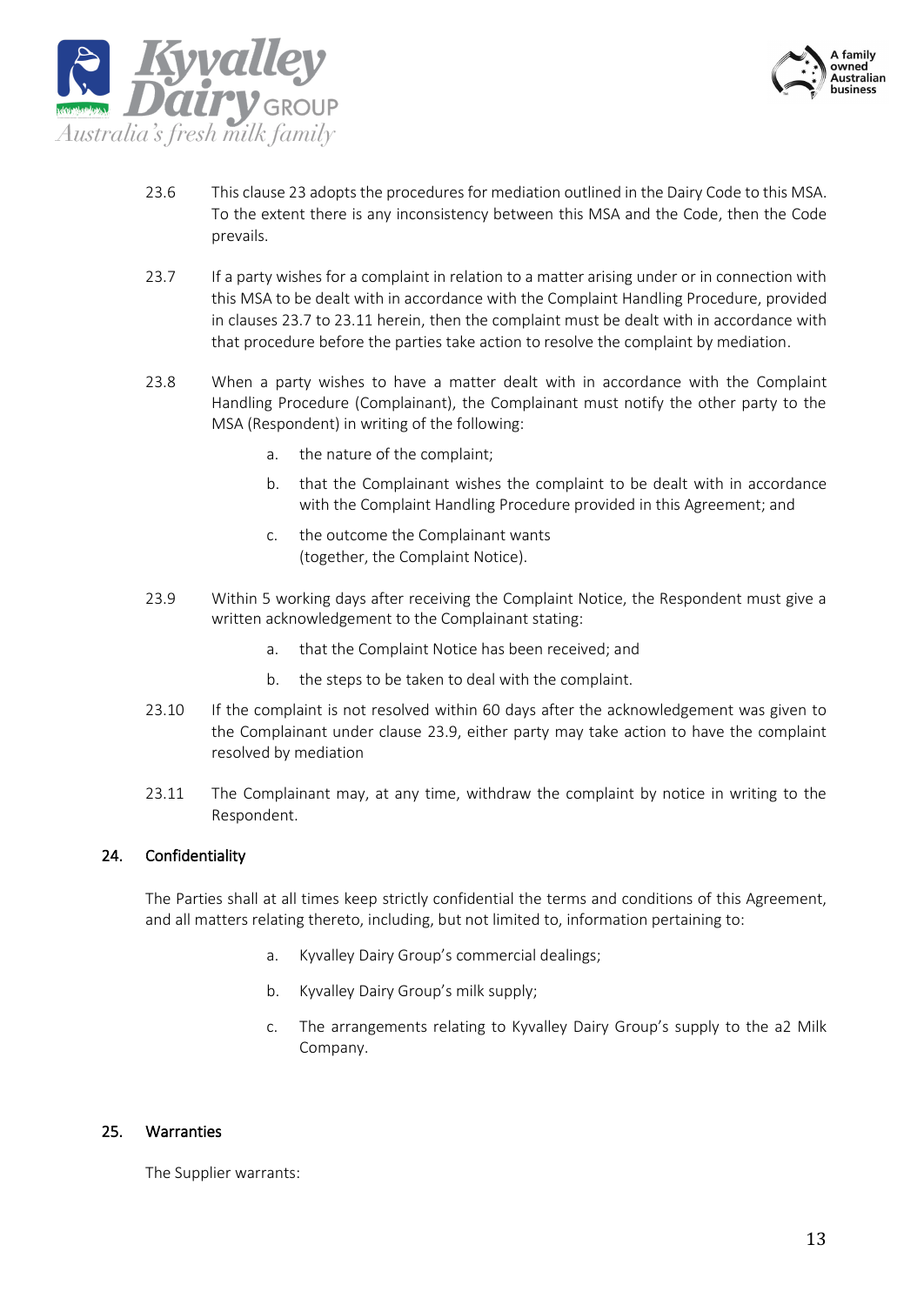



- 23.6 This clause 23 adopts the procedures for mediation outlined in the Dairy Code to this MSA. To the extent there is any inconsistency between this MSA and the Code, then the Code prevails.
- <span id="page-12-0"></span>23.7 If a party wishes for a complaint in relation to a matter arising under or in connection with this MSA to be dealt with in accordance with the Complaint Handling Procedure, provided in clauses 23.7 to 23.11 herein, then the complaint must be dealt with in accordance with that procedure before the parties take action to resolve the complaint by mediation.
- 23.8 When a party wishes to have a matter dealt with in accordance with the Complaint Handling Procedure (Complainant), the Complainant must notify the other party to the MSA (Respondent) in writing of the following:
	- a. the nature of the complaint;
	- b. that the Complainant wishes the complaint to be dealt with in accordance with the Complaint Handling Procedure provided in this Agreement; and
	- c. the outcome the Complainant wants (together, the Complaint Notice).
- 23.9 Within 5 working days after receiving the Complaint Notice, the Respondent must give a written acknowledgement to the Complainant stating:
	- a. that the Complaint Notice has been received; and
	- b. the steps to be taken to deal with the complaint.
- 23.10 If the complaint is not resolved within 60 days after the acknowledgement was given to the Complainant under clause 23.9, either party may take action to have the complaint resolved by mediation
- <span id="page-12-1"></span>23.11 The Complainant may, at any time, withdraw the complaint by notice in writing to the Respondent.

#### 24. Confidentiality

The Parties shall at all times keep strictly confidential the terms and conditions of this Agreement, and all matters relating thereto, including, but not limited to, information pertaining to:

- a. Kyvalley Dairy Group's commercial dealings;
- b. Kyvalley Dairy Group's milk supply;
- c. The arrangements relating to Kyvalley Dairy Group's supply to the a2 Milk Company.

#### 25. Warranties

The Supplier warrants: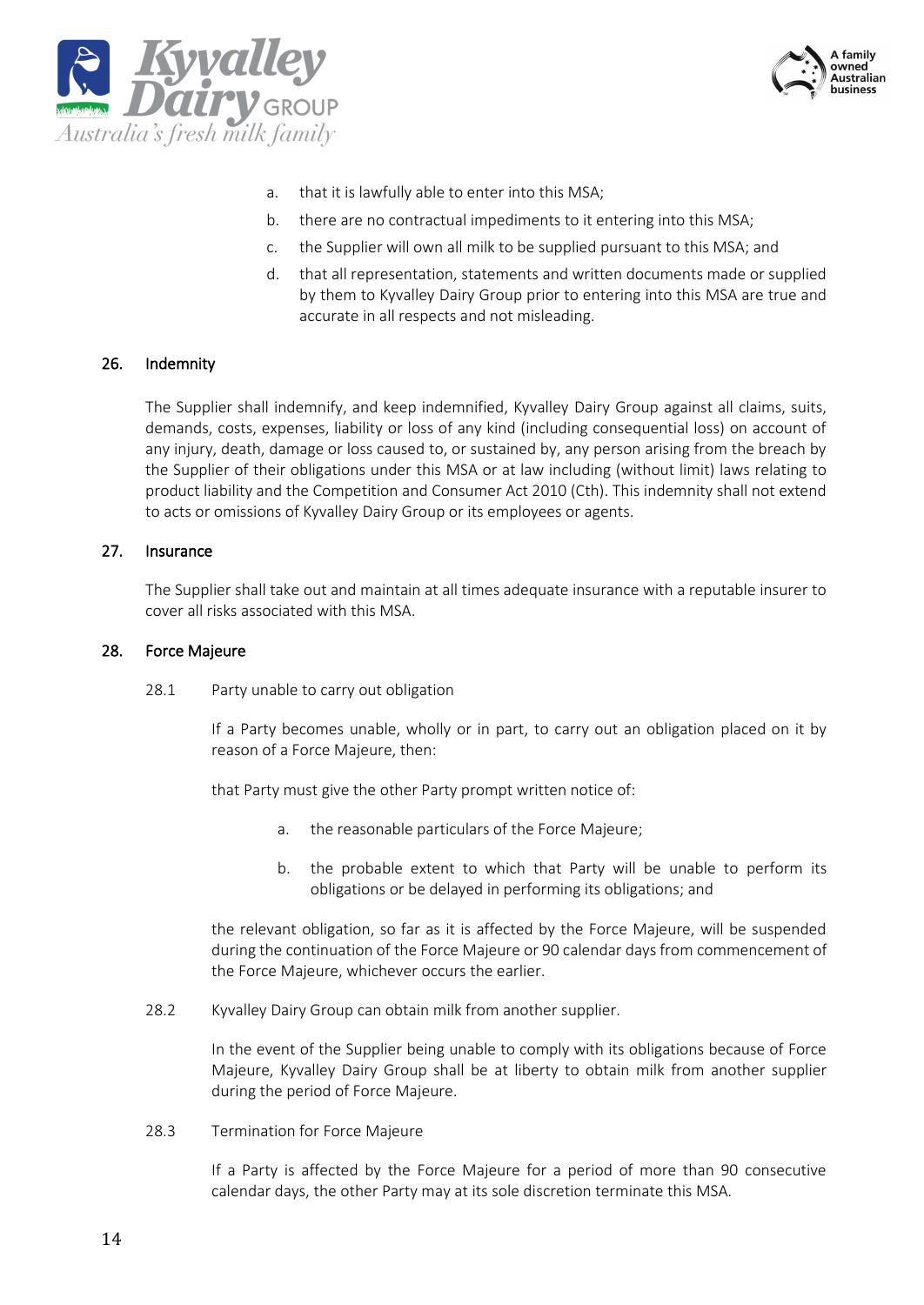



- a. that it is lawfully able to enter into this MSA;
- b. there are no contractual impediments to it entering into this MSA;
- c. the Supplier will own all milk to be supplied pursuant to this MSA; and
- d. that all representation, statements and written documents made or supplied by them to Kyvalley Dairy Group prior to entering into this MSA are true and accurate in all respects and not misleading.

#### 26. Indemnity

The Supplier shall indemnify, and keep indemnified, Kyvalley Dairy Group against all claims, suits, demands, costs, expenses, liability or loss of any kind (including consequential loss) on account of any injury, death, damage or loss caused to, or sustained by, any person arising from the breach by the Supplier of their obligations under this MSA or at law including (without limit) laws relating to product liability and the Competition and Consumer Act 2010 (Cth). This indemnity shall not extend to acts or omissions of Kyvalley Dairy Group or its employees or agents.

#### 27. Insurance

The Supplier shall take out and maintain at all times adequate insurance with a reputable insurer to cover all risks associated with this MSA.

#### 28. Force Majeure

28.1 Party unable to carry out obligation

If a Party becomes unable, wholly or in part, to carry out an obligation placed on it by reason of a Force Majeure, then:

that Party must give the other Party prompt written notice of:

- a. the reasonable particulars of the Force Majeure;
- b. the probable extent to which that Party will be unable to perform its obligations or be delayed in performing its obligations; and

the relevant obligation, so far as it is affected by the Force Majeure, will be suspended during the continuation of the Force Majeure or 90 calendar days from commencement of the Force Majeure, whichever occurs the earlier.

28.2 Kyvalley Dairy Group can obtain milk from another supplier.

In the event of the Supplier being unable to comply with its obligations because of Force Majeure, Kyvalley Dairy Group shall be at liberty to obtain milk from another supplier during the period of Force Majeure.

28.3 Termination for Force Majeure

If a Party is affected by the Force Majeure for a period of more than 90 consecutive calendar days, the other Party may at its sole discretion terminate this MSA.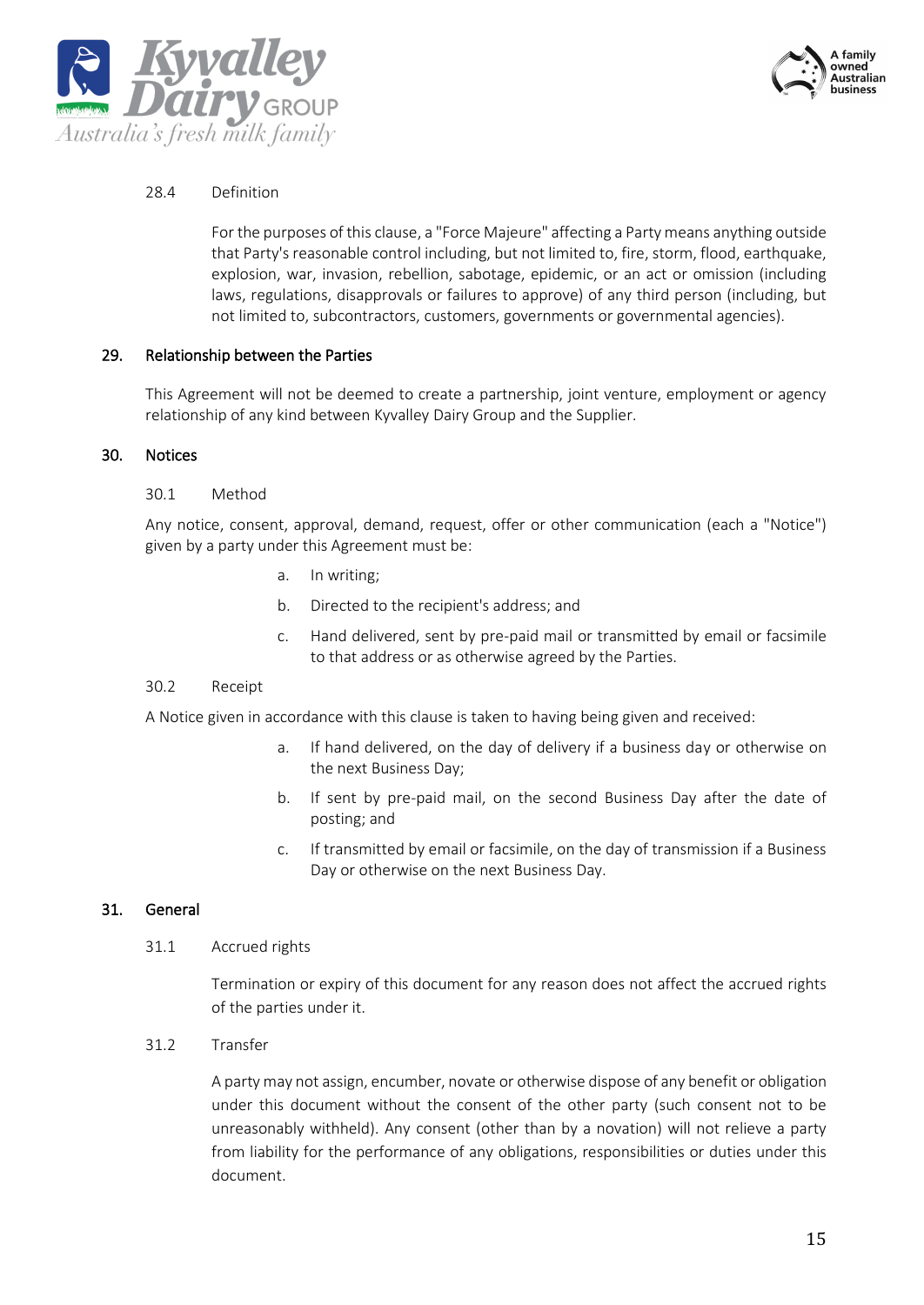



#### 28.4 Definition

For the purposes of this clause, a "Force Majeure" affecting a Party means anything outside that Party's reasonable control including, but not limited to, fire, storm, flood, earthquake, explosion, war, invasion, rebellion, sabotage, epidemic, or an act or omission (including laws, regulations, disapprovals or failures to approve) of any third person (including, but not limited to, subcontractors, customers, governments or governmental agencies).

#### 29. Relationship between the Parties

This Agreement will not be deemed to create a partnership, joint venture, employment or agency relationship of any kind between Kyvalley Dairy Group and the Supplier.

#### 30. Notices

#### 30.1 Method

Any notice, consent, approval, demand, request, offer or other communication (each a "Notice") given by a party under this Agreement must be:

- a. In writing;
- b. Directed to the recipient's address; and
- c. Hand delivered, sent by pre-paid mail or transmitted by email or facsimile to that address or as otherwise agreed by the Parties.

#### 30.2 Receipt

A Notice given in accordance with this clause is taken to having being given and received:

- a. If hand delivered, on the day of delivery if a business day or otherwise on the next Business Day;
- b. If sent by pre-paid mail, on the second Business Day after the date of posting; and
- c. If transmitted by email or facsimile, on the day of transmission if a Business Day or otherwise on the next Business Day.

#### 31. General

31.1 Accrued rights

Termination or expiry of this document for any reason does not affect the accrued rights of the parties under it.

31.2 Transfer

A party may not assign, encumber, novate or otherwise dispose of any benefit or obligation under this document without the consent of the other party (such consent not to be unreasonably withheld). Any consent (other than by a novation) will not relieve a party from liability for the performance of any obligations, responsibilities or duties under this document.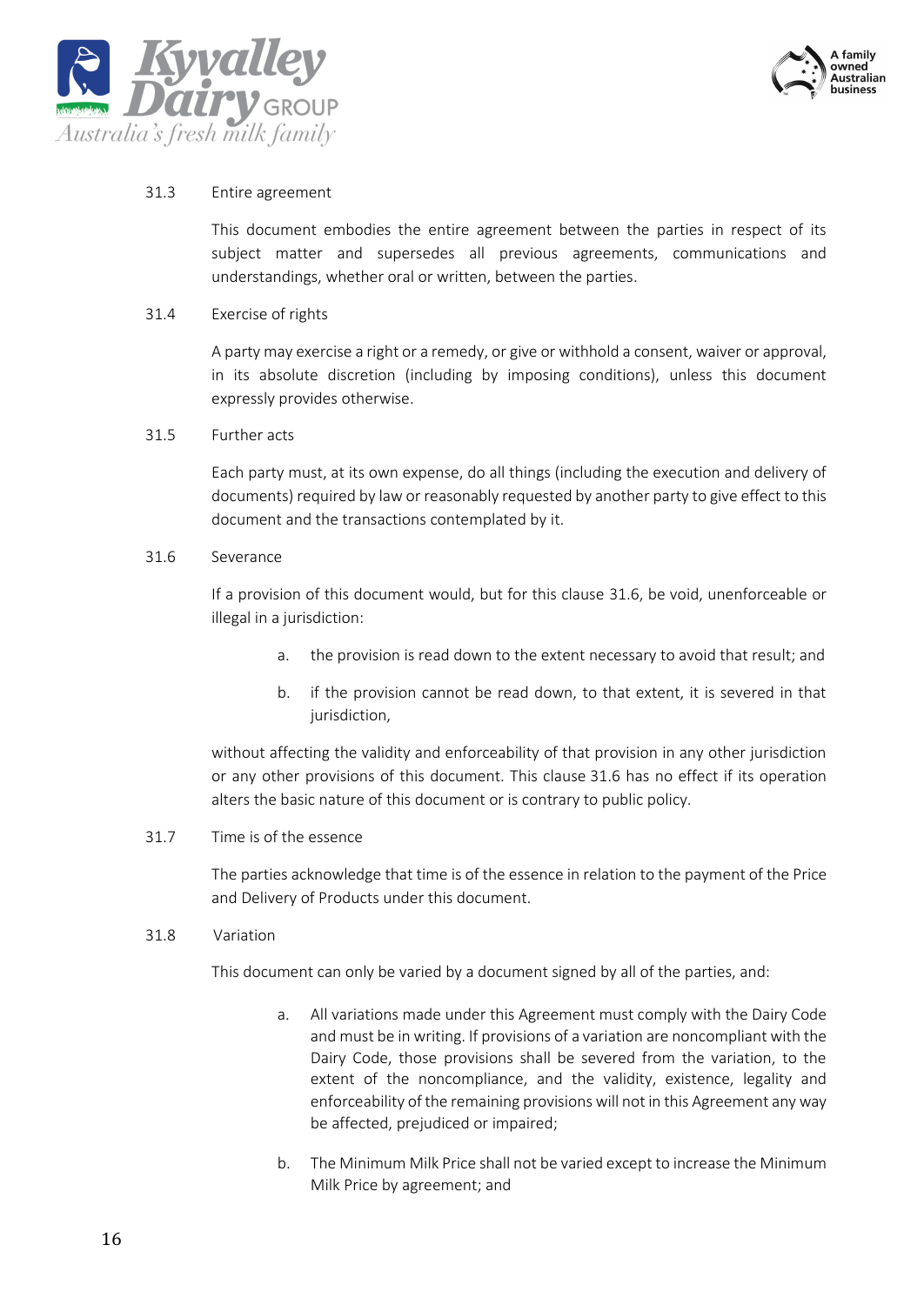



#### 31.3 Entire agreement

This document embodies the entire agreement between the parties in respect of its subject matter and supersedes all previous agreements, communications and understandings, whether oral or written, between the parties.

#### 31.4 Exercise of rights

A party may exercise a right or a remedy, or give or withhold a consent, waiver or approval, in its absolute discretion (including by imposing conditions), unless this document expressly provides otherwise.

31.5 Further acts

Each party must, at its own expense, do all things (including the execution and delivery of documents) required by law or reasonably requested by another party to give effect to this document and the transactions contemplated by it.

#### <span id="page-15-0"></span>31.6 Severance

If a provision of this document would, but for this clause [31.6,](#page-15-0) be void, unenforceable or illegal in a jurisdiction:

- a. the provision is read down to the extent necessary to avoid that result; and
- b. if the provision cannot be read down, to that extent, it is severed in that jurisdiction,

without affecting the validity and enforceability of that provision in any other jurisdiction or any other provisions of this document. This clause 31.6 has no effect if its operation alters the basic nature of this document or is contrary to public policy.

#### 31.7 Time is of the essence

The parties acknowledge that time is of the essence in relation to the payment of the Price and Delivery of Products under this document.

#### 31.8 Variation

This document can only be varied by a document signed by all of the parties, and:

- a. All variations made under this Agreement must comply with the Dairy Code and must be in writing. If provisions of a variation are noncompliant with the Dairy Code, those provisions shall be severed from the variation, to the extent of the noncompliance, and the validity, existence, legality and enforceability of the remaining provisions will not in this Agreement any way be affected, prejudiced or impaired;
- b. The Minimum Milk Price shall not be varied except to increase the Minimum Milk Price by agreement; and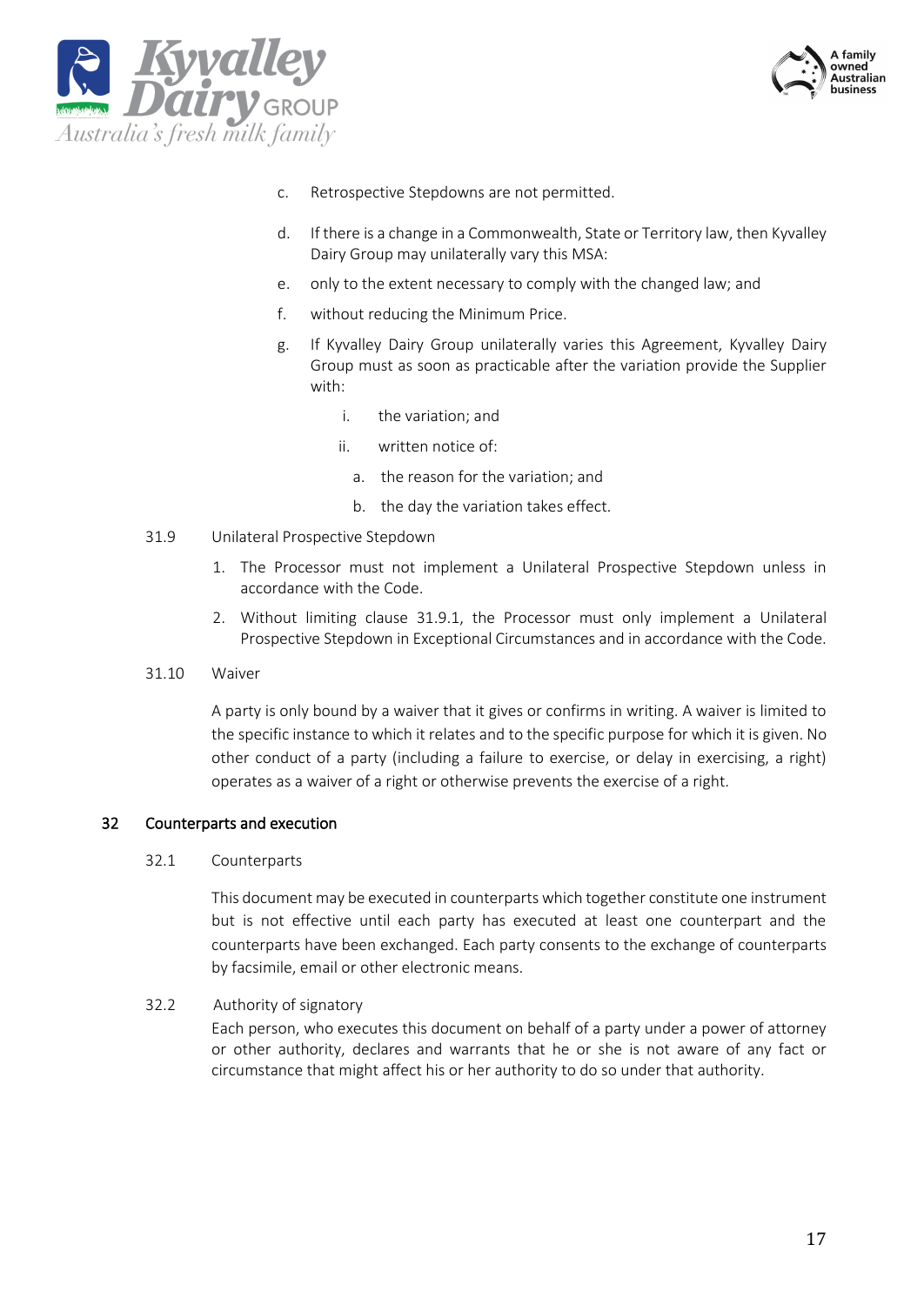



- c. Retrospective Stepdowns are not permitted.
- d. If there is a change in a Commonwealth, State or Territory law, then Kyvalley Dairy Group may unilaterally vary this MSA:
- e. only to the extent necessary to comply with the changed law; and
- f. without reducing the Minimum Price.
- g. If Kyvalley Dairy Group unilaterally varies this Agreement, Kyvalley Dairy Group must as soon as practicable after the variation provide the Supplier with:
	- i. the variation; and
	- ii. written notice of:
		- a. the reason for the variation; and
		- b. the day the variation takes effect.
- 31.9 Unilateral Prospective Stepdown
	- 1. The Processor must not implement a Unilateral Prospective Stepdown unless in accordance with the Code.
	- 2. Without limiting clause 31.9.1, the Processor must only implement a Unilateral Prospective Stepdown in Exceptional Circumstances and in accordance with the Code.
- 31.10 Waiver

A party is only bound by a waiver that it gives or confirms in writing. A waiver is limited to the specific instance to which it relates and to the specific purpose for which it is given. No other conduct of a party (including a failure to exercise, or delay in exercising, a right) operates as a waiver of a right or otherwise prevents the exercise of a right.

#### 32 Counterparts and execution

#### 32.1 Counterparts

This document may be executed in counterparts which together constitute one instrument but is not effective until each party has executed at least one counterpart and the counterparts have been exchanged. Each party consents to the exchange of counterparts by facsimile, email or other electronic means.

#### 32.2 Authority of signatory

Each person, who executes this document on behalf of a party under a power of attorney or other authority, declares and warrants that he or she is not aware of any fact or circumstance that might affect his or her authority to do so under that authority.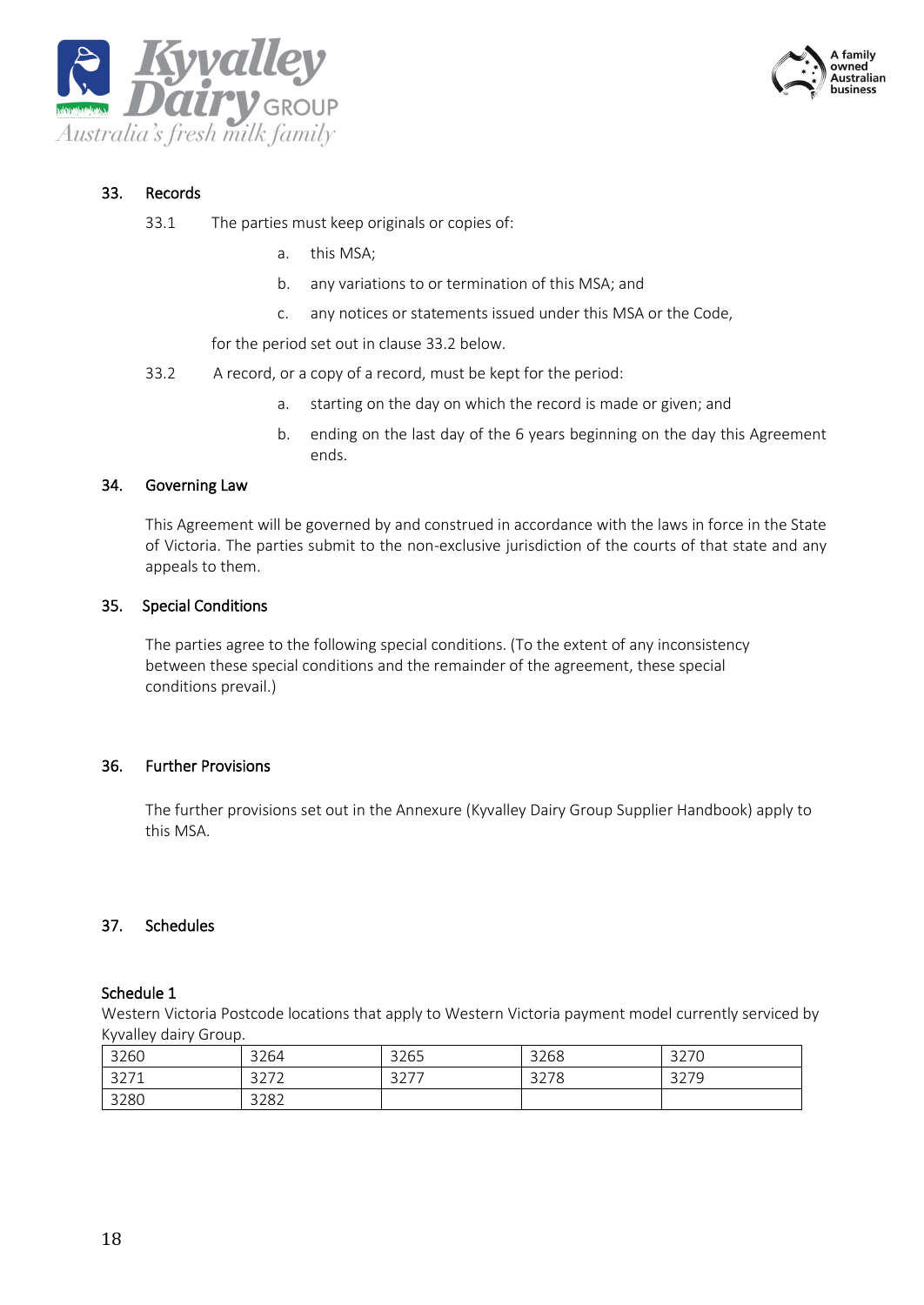



#### 33. Records

- 33.1 The parties must keep originals or copies of:
	- a. this MSA;
	- b. any variations to or termination of this MSA; and
	- c. any notices or statements issued under this MSA or the Code,

for the period set out in clause 33.2 below.

- 33.2 A record, or a copy of a record, must be kept for the period:
	- a. starting on the day on which the record is made or given; and
	- b. ending on the last day of the 6 years beginning on the day this Agreement ends.

#### 34. Governing Law

This Agreement will be governed by and construed in accordance with the laws in force in the State of Victoria. The parties submit to the non-exclusive jurisdiction of the courts of that state and any appeals to them.

#### 35. Special Conditions

The parties agree to the following special conditions. (To the extent of any inconsistency between these special conditions and the remainder of the agreement, these special conditions prevail.)

#### 36. Further Provisions

The further provisions set out in the Annexure (Kyvalley Dairy Group Supplier Handbook) apply to this MSA.

#### 37. Schedules

#### Schedule 1

Western Victoria Postcode locations that apply to Western Victoria payment model currently serviced by Kyvalley dairy Group.

| 3260 | 3264           | 3265          | 3268 | 3270         |
|------|----------------|---------------|------|--------------|
| 3271 | 2777<br>34 I L | つつフフ<br>ا ے ب | 3278 | 3279<br>321Y |
| 3280 | 3282           |               |      |              |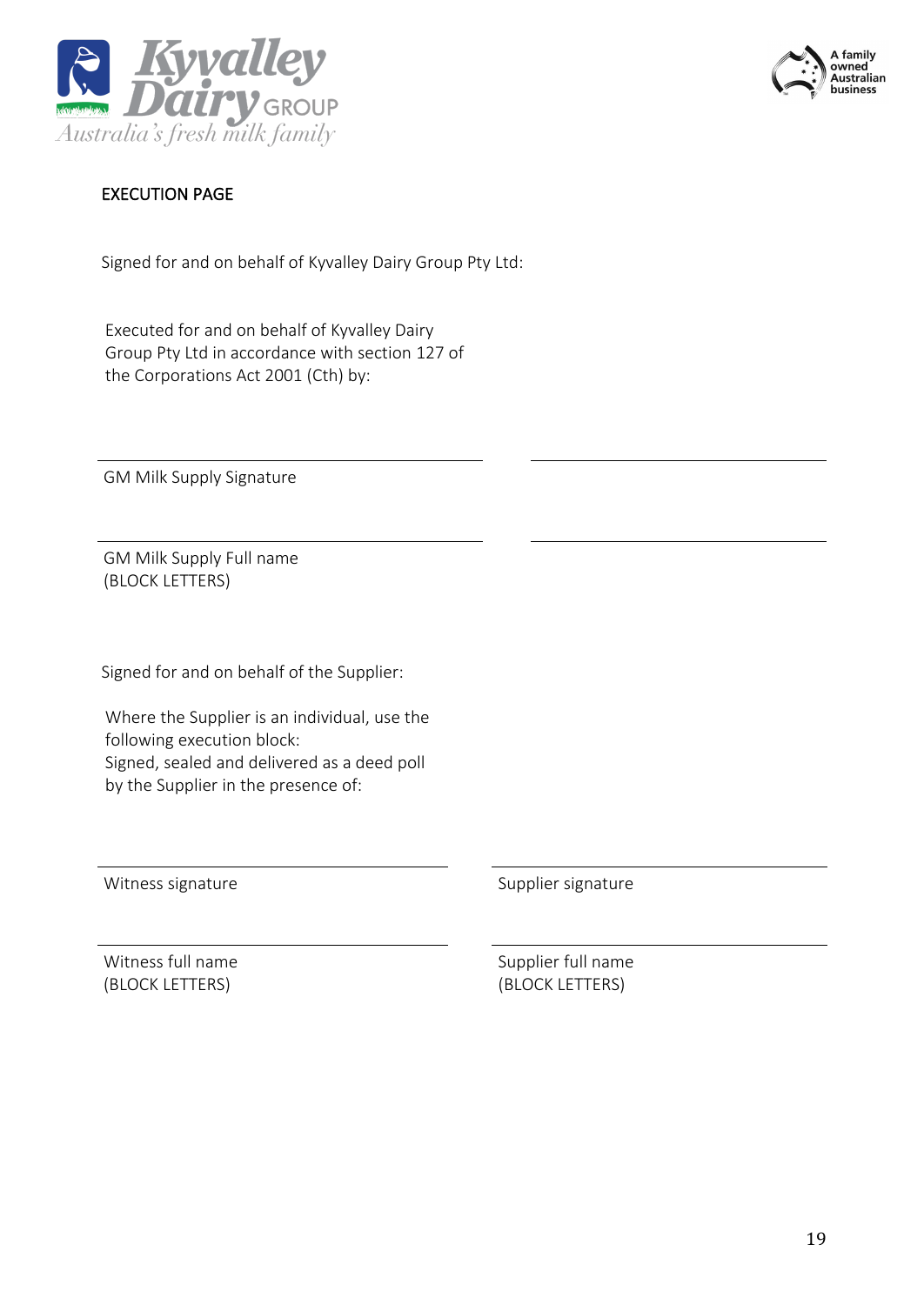



# EXECUTION PAGE

Signed for and on behalf of Kyvalley Dairy Group Pty Ltd:

Executed for and on behalf of Kyvalley Dairy Group Pty Ltd in accordance with section 127 of the Corporations Act 2001 (Cth) by:

GM Milk Supply Signature

GM Milk Supply Full name (BLOCK LETTERS)

Signed for and on behalf of the Supplier:

Where the Supplier is an individual, use the following execution block: Signed, sealed and delivered as a deed poll by the Supplier in the presence of:

Witness signature Supplier signature Supplier signature

Witness full name (BLOCK LETTERS)

Supplier full name (BLOCK LETTERS)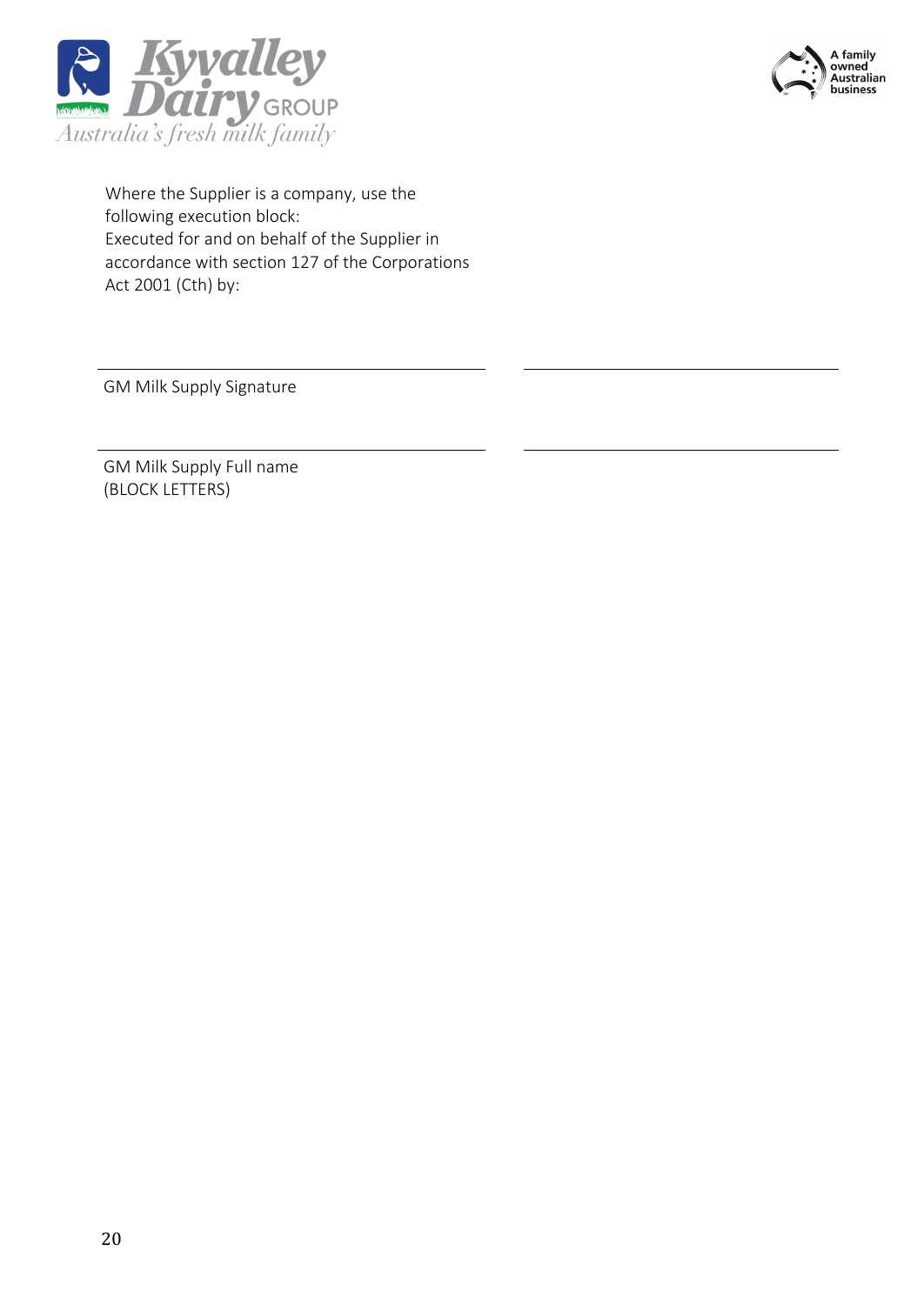



Where the Supplier is a company, use the following execution block: Executed for and on behalf of the Supplier in accordance with section 127 of the Corporations Act 2001 (Cth) by:

GM Milk Supply Signature

GM Milk Supply Full name (BLOCK LETTERS)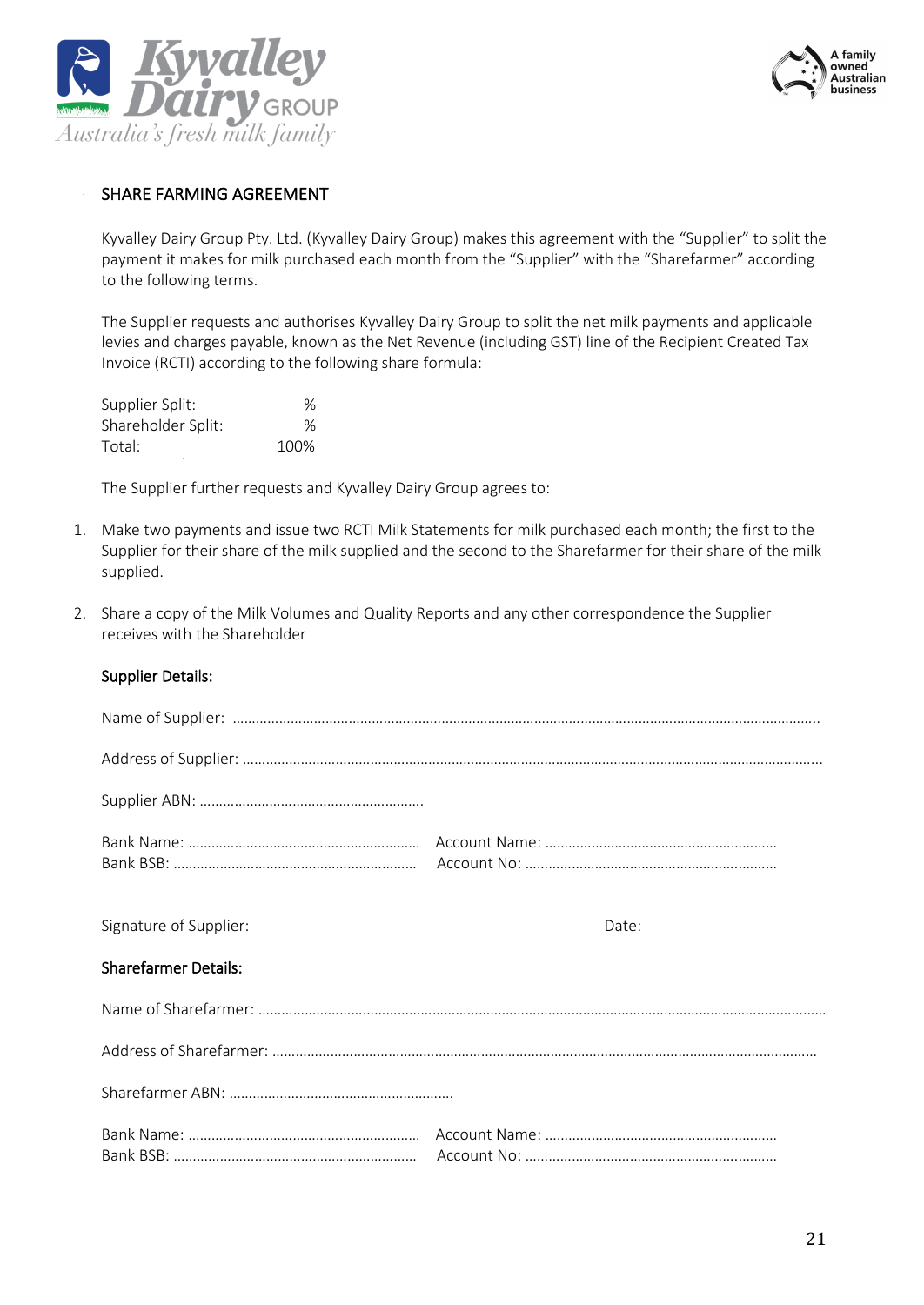



#### SHARE FARMING AGREEMENT

Kyvalley Dairy Group Pty. Ltd. (Kyvalley Dairy Group) makes this agreement with the "Supplier" to split the payment it makes for milk purchased each month from the "Supplier" with the "Sharefarmer" according to the following terms.

The Supplier requests and authorises Kyvalley Dairy Group to split the net milk payments and applicable levies and charges payable, known as the Net Revenue (including GST) line of the Recipient Created Tax Invoice (RCTI) according to the following share formula:

| Supplier Split:    | $\%$ |
|--------------------|------|
| Shareholder Split: | ℅    |
| Total:             | 100% |

The Supplier further requests and Kyvalley Dairy Group agrees to:

- 1. Make two payments and issue two RCTI Milk Statements for milk purchased each month; the first to the Supplier for their share of the milk supplied and the second to the Sharefarmer for their share of the milk supplied.
- 2. Share a copy of the Milk Volumes and Quality Reports and any other correspondence the Supplier receives with the Shareholder

| Signature of Supplier:      | Date: |
|-----------------------------|-------|
| <b>Sharefarmer Details:</b> |       |
|                             |       |
|                             |       |
|                             |       |
|                             |       |